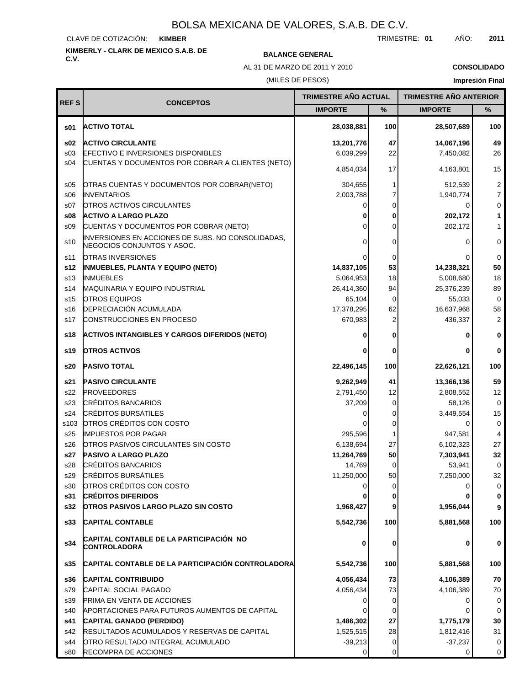#### CLAVE DE COTIZACIÓN: **KIMBER**

# **KIMBERLY - CLARK DE MEXICO S.A.B. DE**

## **C.V. BALANCE GENERAL**

AL 31 DE MARZO DE 2011 Y 2010

**CONSOLIDADO**

## (MILES DE PESOS)

| <b>REFS</b>     |                                                                                 | TRIMESTRE AÑO ACTUAL |          | <b>TRIMESTRE AÑO ANTERIOR</b> |                |
|-----------------|---------------------------------------------------------------------------------|----------------------|----------|-------------------------------|----------------|
|                 | <b>CONCEPTOS</b>                                                                | <b>IMPORTE</b>       | %        | <b>IMPORTE</b>                | %              |
| \$01            | <b>ACTIVO TOTAL</b>                                                             | 28,038,881           | 100      | 28,507,689                    | 100            |
| \$02            | <b>ACTIVO CIRCULANTE</b>                                                        | 13,201,776           | 47       | 14,067,196                    | 49             |
| \$03            | <b>EFECTIVO E INVERSIONES DISPONIBLES</b>                                       | 6,039,299            | 22       | 7,450,082                     | 26             |
| s04             | CUENTAS Y DOCUMENTOS POR COBRAR A CLIENTES (NETO)                               | 4,854,034            | 17       | 4,163,801                     | 15             |
| \$05            | OTRAS CUENTAS Y DOCUMENTOS POR COBRAR(NETO)                                     | 304,655              | 1        | 512,539                       | $\overline{c}$ |
| \$06            | <b>INVENTARIOS</b>                                                              | 2,003,788            | 7        | 1,940,774                     | $\overline{7}$ |
| S <sub>07</sub> | <b>OTROS ACTIVOS CIRCULANTES</b>                                                |                      | 0        | 0                             | 0              |
| \$08            | <b>ACTIVO A LARGO PLAZO</b>                                                     |                      | 0        | 202,172                       | 1              |
| \$09            | CUENTAS Y DOCUMENTOS POR COBRAR (NETO)                                          |                      | 0        | 202,172                       | 1              |
| s10             | INVERSIONES EN ACCIONES DE SUBS. NO CONSOLIDADAS,<br>NEGOCIOS CONJUNTOS Y ASOC. |                      | $\Omega$ | 0                             | 0              |
| s11             | <b>OTRAS INVERSIONES</b>                                                        |                      | 0        |                               | 0              |
| s12             | <b>INMUEBLES, PLANTA Y EQUIPO (NETO)</b>                                        | 14,837,105           | 53       | 14,238,321                    | 50             |
| s <sub>13</sub> | <b>INMUEBLES</b>                                                                | 5,064,953            | 18       | 5,008,680                     | 18             |
| s14             | <b>MAQUINARIA Y EQUIPO INDUSTRIAL</b>                                           | 26,414,360           | 94       | 25,376,239                    | 89             |
| s <sub>15</sub> | <b>OTROS EQUIPOS</b>                                                            | 65,104               | $\Omega$ | 55,033                        | 0              |
| s16             | <b>DEPRECIACIÓN ACUMULADA</b>                                                   | 17,378,295           | 62       | 16,637,968                    | 58             |
| s17             | CONSTRUCCIONES EN PROCESO                                                       | 670,983              | 2        | 436,337                       | 2              |
| s18             | <b>ACTIVOS INTANGIBLES Y CARGOS DIFERIDOS (NETO)</b>                            |                      | 0        |                               | 0              |
| s19             | <b>OTROS ACTIVOS</b>                                                            |                      | 0        |                               | 0              |
| s20             | <b>PASIVO TOTAL</b>                                                             | 22,496,145           | 100      | 22,626,121                    | 100            |
| s21             | <b>PASIVO CIRCULANTE</b>                                                        | 9,262,949            | 41       | 13,366,136                    | 59             |
| s22             | <b>PROVEEDORES</b>                                                              | 2,791,450            | 12       | 2,808,552                     | 12             |
| s23             | <b>CRÉDITOS BANCARIOS</b>                                                       | 37,209               | 0        | 58,126                        | 0              |
| s24             | <b>CRÉDITOS BURSÁTILES</b>                                                      |                      | 0        | 3,449,554                     | 15             |
| s103            | OTROS CRÉDITOS CON COSTO                                                        |                      | 0        | 0                             | 0              |
| s25             | <b>IMPUESTOS POR PAGAR</b>                                                      | 295,596              |          | 947,581                       | 4              |
| s26             | <b>OTROS PASIVOS CIRCULANTES SIN COSTO</b>                                      | 6,138,694            | 27       | 6,102,323                     | 27             |
| s27             | <b>PASIVO A LARGO PLAZO</b>                                                     | 11,264,769           | 50       | 7,303,941                     | 32             |
| s28             | <b>CRÉDITOS BANCARIOS</b>                                                       | 14,769               | 0        | 53,941                        | 0              |
| s29             | <b>CRÉDITOS BURSÁTILES</b>                                                      | 11,250,000           | 50       | 7,250,000                     | 32             |
| s30             | OTROS CRÉDITOS CON COSTO                                                        |                      | 0        | 0                             | 0              |
| s31             | <b>CRÉDITOS DIFERIDOS</b>                                                       |                      | 0        |                               | 0              |
| s32             | <b>OTROS PASIVOS LARGO PLAZO SIN COSTO</b>                                      | 1,968,427            | 9        | 1,956,044                     | 9              |
| s33             | <b>CAPITAL CONTABLE</b>                                                         | 5,542,736            | 100      | 5,881,568                     | 100            |
| s34             | CAPITAL CONTABLE DE LA PARTICIPACIÓN NO<br>CONTROLADORA                         | 0                    | 0        | 0                             | 0              |
| s35             | CAPITAL CONTABLE DE LA PARTICIPACIÓN CONTROLADORA                               | 5,542,736            | 100      | 5,881,568                     | 100            |
| s36             | <b>CAPITAL CONTRIBUIDO</b>                                                      | 4,056,434            | 73       | 4,106,389                     | 70             |
| s79             | CAPITAL SOCIAL PAGADO                                                           | 4,056,434            | 73       | 4,106,389                     | 70             |
| s39             | <b>PRIMA EN VENTA DE ACCIONES</b>                                               |                      | 0        |                               | 0              |
| s40             | APORTACIONES PARA FUTUROS AUMENTOS DE CAPITAL                                   |                      | 0        |                               | 0              |
| s41             | CAPITAL GANADO (PERDIDO)                                                        | 1,486,302            | 27       | 1,775,179                     | 30             |
| s42             | <b>RESULTADOS ACUMULADOS Y RESERVAS DE CAPITAL</b>                              | 1,525,515            | 28       | 1,812,416                     | 31             |
| s44             | OTRO RESULTADO INTEGRAL ACUMULADO                                               | $-39,213$            | 0        | $-37,237$                     | 0              |
| s80             | <b>RECOMPRA DE ACCIONES</b>                                                     | 0                    | 0        | 0                             | 0              |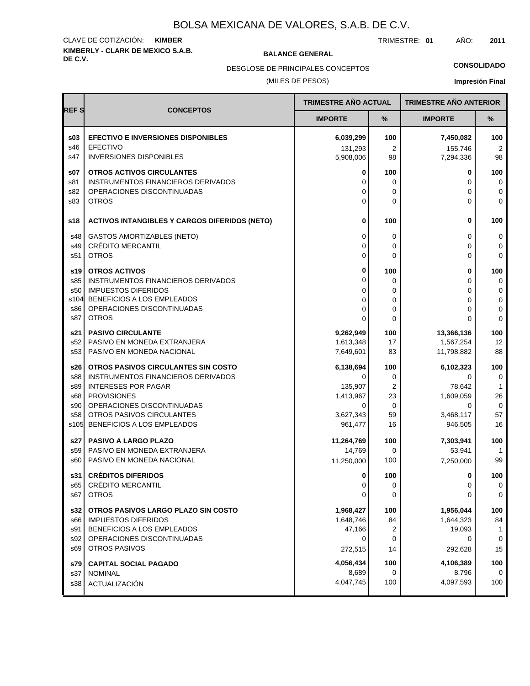# **KIMBERLY - CLARK DE MEXICO S.A.B.** CLAVE DE COTIZACIÓN: **KIMBER**

**BALANCE GENERAL** 

TRIMESTRE: **01** AÑO: **2011**

**CONSOLIDADO**

DESGLOSE DE PRINCIPALES CONCEPTOS

### (MILES DE PESOS)

|             |                                                          | TRIMESTRE AÑO ACTUAL |                  | <b>TRIMESTRE AÑO ANTERIOR</b> |                    |
|-------------|----------------------------------------------------------|----------------------|------------------|-------------------------------|--------------------|
| <b>REFS</b> | <b>CONCEPTOS</b>                                         | <b>IMPORTE</b>       | %                | <b>IMPORTE</b>                | %                  |
| \$03        | <b>EFECTIVO E INVERSIONES DISPONIBLES</b>                | 6,039,299            | 100              | 7,450,082                     | 100                |
| s46         | <b>EFECTIVO</b>                                          | 131,293              | 2                | 155,746                       | 2                  |
| s47         | <b>INVERSIONES DISPONIBLES</b>                           | 5,908,006            | 98               | 7,294,336                     | 98                 |
| \$07        | <b>OTROS ACTIVOS CIRCULANTES</b>                         | 0                    | 100              | 0                             | 100                |
| s81         | <b>INSTRUMENTOS FINANCIEROS DERIVADOS</b>                | 0                    | 0                | 0                             | 0                  |
| s82<br>s83  | OPERACIONES DISCONTINUADAS<br><b>OTROS</b>               | 0<br>0               | 0<br>0           | 0<br>$\Omega$                 | 0<br>$\mathbf 0$   |
|             |                                                          |                      |                  |                               |                    |
| s18         | <b>ACTIVOS INTANGIBLES Y CARGOS DIFERIDOS (NETO)</b>     | 0                    | 100              | 0                             | 100                |
| s48         | <b>GASTOS AMORTIZABLES (NETO)</b>                        | 0                    | 0                | 0                             | 0                  |
| s49         | CRÉDITO MERCANTIL                                        | 0                    | 0                | 0                             | 0                  |
| s51         | <b>OTROS</b>                                             | 0                    | $\mathbf{0}$     | 0                             | $\mathbf 0$        |
| s19 l       | <b>OTROS ACTIVOS</b>                                     | 0                    | 100              | 0                             | 100                |
| s85         | INSTRUMENTOS FINANCIEROS DERIVADOS                       | 0                    | 0                | 0                             | $\mathbf 0$        |
| s50<br>s104 | <b>IMPUESTOS DIFERIDOS</b><br>BENEFICIOS A LOS EMPLEADOS | 0                    | 0                | 0                             | 0                  |
| s86         | OPERACIONES DISCONTINUADAS                               | 0<br>0               | $\mathbf 0$<br>0 | 0<br>0                        | 0<br>$\pmb{0}$     |
| s87         | <b>OTROS</b>                                             | 0                    | 0                | 0                             | $\mathbf 0$        |
| s21         | <b>PASIVO CIRCULANTE</b>                                 | 9,262,949            | 100              | 13,366,136                    | 100                |
| s52         | PASIVO EN MONEDA EXTRANJERA                              | 1,613,348            | 17               | 1,567,254                     | 12                 |
| s53         | PASIVO EN MONEDA NACIONAL                                | 7,649,601            | 83               | 11,798,882                    | 88                 |
| s26 l       | OTROS PASIVOS CIRCULANTES SIN COSTO                      | 6,138,694            | 100              | 6,102,323                     | 100                |
| s88         | INSTRUMENTOS FINANCIEROS DERIVADOS                       | $\Omega$             | 0                | 0                             | 0                  |
| s89         | <b>INTERESES POR PAGAR</b><br><b>PROVISIONES</b>         | 135,907              | 2<br>23          | 78,642                        | $\mathbf{1}$<br>26 |
| s68<br>s90  | OPERACIONES DISCONTINUADAS                               | 1,413,967<br>0       | 0                | 1,609,059<br>0                | $\mathbf 0$        |
| s58         | OTROS PASIVOS CIRCULANTES                                | 3,627,343            | 59               | 3,468,117                     | 57                 |
| s105        | BENEFICIOS A LOS EMPLEADOS                               | 961,477              | 16               | 946,505                       | 16                 |
| s27         | <b>PASIVO A LARGO PLAZO</b>                              | 11,264,769           | 100              | 7,303,941                     | 100                |
| s59         | PASIVO EN MONEDA EXTRANJERA                              | 14,769               | 0                | 53,941                        |                    |
| s60         | PASIVO EN MONEDA NACIONAL                                | 11,250,000           | 100              | 7,250,000                     | 99                 |
| s31         | <b>CRÉDITOS DIFERIDOS</b>                                | 0                    | 100              | 0                             | 100                |
| s65         | <b>CRÉDITO MERCANTIL</b>                                 | 0                    | 0                | 0                             | 0                  |
| s67         | <b>OTROS</b>                                             | 0                    | 0                | 0                             | $\mathbf 0$        |
| s32         | OTROS PASIVOS LARGO PLAZO SIN COSTO                      | 1,968,427            | 100              | 1,956,044                     | 100                |
| s66         | <b>IMPUESTOS DIFERIDOS</b>                               | 1,648,746            | 84               | 1,644,323                     | 84                 |
| s91         | BENEFICIOS A LOS EMPLEADOS                               | 47,166               | 2                | 19,093                        | 1                  |
| s92<br>s69  | OPERACIONES DISCONTINUADAS<br><b>OTROS PASIVOS</b>       | 0<br>272,515         | 0<br>14          | 0<br>292,628                  | 0<br>15            |
|             |                                                          |                      |                  |                               |                    |
| s79<br>s37  | <b>CAPITAL SOCIAL PAGADO</b><br><b>NOMINAL</b>           | 4,056,434<br>8,689   | 100<br>0         | 4,106,389<br>8,796            | 100<br>0           |
| s38         | ACTUALIZACIÓN                                            | 4,047,745            | 100              | 4,097,593                     | 100                |
|             |                                                          |                      |                  |                               |                    |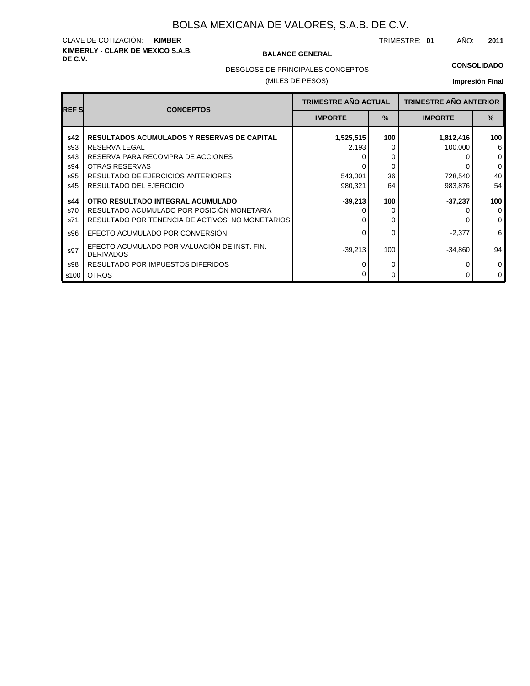# **KIMBERLY - CLARK DE MEXICO S.A.B.** CLAVE DE COTIZACIÓN: **KIMBER**

#### **BALANCE GENERAL**

TRIMESTRE: **01** AÑO: **2011**

DESGLOSE DE PRINCIPALES CONCEPTOS

## (MILES DE PESOS)

### **CONSOLIDADO**

| <b>REFS</b>       | <b>CONCEPTOS</b>                                                                                                                   | <b>TRIMESTRE AÑO ACTUAL</b> |          | <b>TRIMESTRE AÑO ANTERIOR</b> |                                   |  |
|-------------------|------------------------------------------------------------------------------------------------------------------------------------|-----------------------------|----------|-------------------------------|-----------------------------------|--|
|                   |                                                                                                                                    | $\%$<br><b>IMPORTE</b>      |          | <b>IMPORTE</b>                | $\%$                              |  |
| s42<br>s93        | <b>RESULTADOS ACUMULADOS Y RESERVAS DE CAPITAL</b><br>RESERVA LEGAL                                                                | 1,525,515<br>2,193          | 100<br>O | 1,812,416<br>100,000          | 100<br>6                          |  |
| s43<br>s94        | RESERVA PARA RECOMPRA DE ACCIONES<br>OTRAS RESERVAS                                                                                |                             | 0<br>0   |                               | $\mathbf 0$<br>$\mathbf 0$        |  |
| s95<br>s45        | RESULTADO DE EJERCICIOS ANTERIORES<br>RESULTADO DEL EJERCICIO                                                                      | 543,001<br>980,321          | 36<br>64 | 728,540<br>983,876            | 40<br>54                          |  |
| s44<br>s70<br>s71 | OTRO RESULTADO INTEGRAL ACUMULADO<br>RESULTADO ACUMULADO POR POSICIÓN MONETARIA<br>RESULTADO POR TENENCIA DE ACTIVOS NO MONETARIOS | $-39,213$                   | 100<br>0 | $-37,237$                     | 100<br>$\mathbf 0$<br>$\mathbf 0$ |  |
| s96               | EFECTO ACUMULADO POR CONVERSIÓN                                                                                                    |                             | 0        | $-2,377$                      | 6                                 |  |
| s97               | EFECTO ACUMULADO POR VALUACIÓN DE INST. FIN.<br><b>DERIVADOS</b>                                                                   | $-39,213$                   | 100      | $-34,860$                     | 94                                |  |
| s98<br>s100       | RESULTADO POR IMPUESTOS DIFERIDOS<br><b>OTROS</b>                                                                                  |                             | 0<br>0   | 0                             | $\mathbf 0$<br>$\mathbf 0$        |  |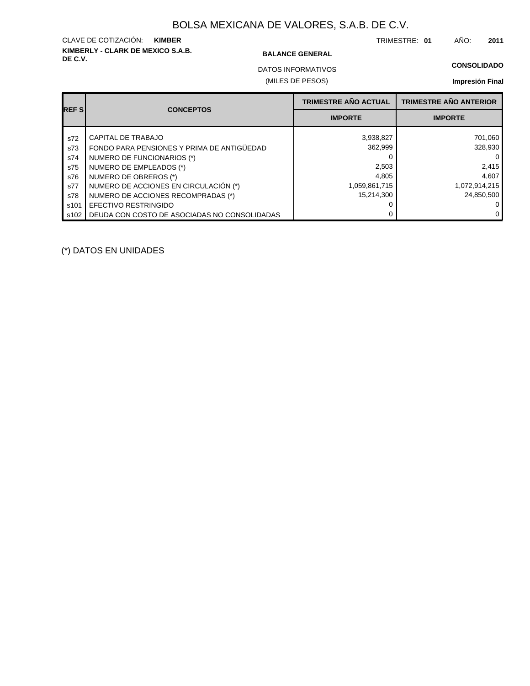# **KIMBERLY - CLARK DE MEXICO S.A.B.** CLAVE DE COTIZACIÓN: **KIMBER**

#### **BALANCE GENERAL**

TRIMESTRE: **01** AÑO: **2011**

**CONSOLIDADO**

DATOS INFORMATIVOS

#### (MILES DE PESOS)

## **Impresión Final**

| <b>REFS</b> | <b>CONCEPTOS</b>                             | <b>TRIMESTRE AÑO ACTUAL</b> | <b>TRIMESTRE AÑO ANTERIOR</b> |
|-------------|----------------------------------------------|-----------------------------|-------------------------------|
|             |                                              | <b>IMPORTE</b>              | <b>IMPORTE</b>                |
| s72         | CAPITAL DE TRABAJO                           | 3,938,827                   | 701,060                       |
| s73         | FONDO PARA PENSIONES Y PRIMA DE ANTIGÜEDAD   | 362,999                     | 328,930                       |
| s74         | NUMERO DE FUNCIONARIOS (*)                   |                             | 0                             |
| s75         | NUMERO DE EMPLEADOS (*)                      | 2,503                       | 2,415                         |
| s76         | NUMERO DE OBREROS (*)                        | 4,805                       | 4,607                         |
| s77         | NUMERO DE ACCIONES EN CIRCULACIÓN (*)        | 1,059,861,715               | 1,072,914,215                 |
| s78         | NUMERO DE ACCIONES RECOMPRADAS (*)           | 15,214,300                  | 24.850.500                    |
| s101        | EFECTIVO RESTRINGIDO                         |                             |                               |
| s102        | DEUDA CON COSTO DE ASOCIADAS NO CONSOLIDADAS |                             |                               |

(\*) DATOS EN UNIDADES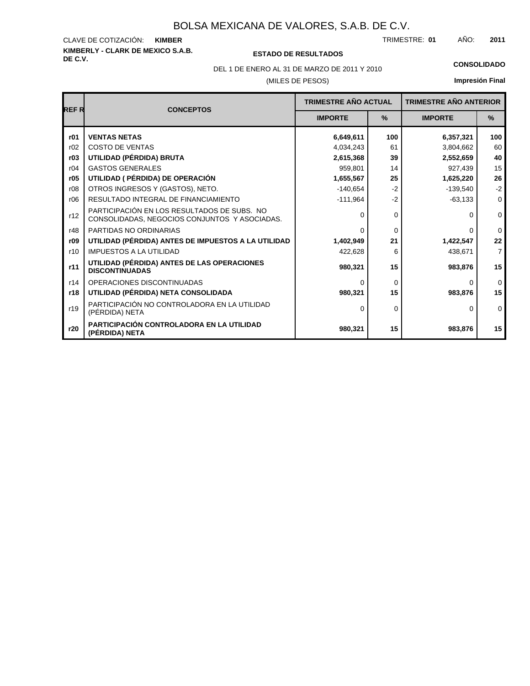# **KIMBERLY - CLARK DE MEXICO S.A.B.** CLAVE DE COTIZACIÓN:

#### **DE C.V. ESTADO DE RESULTADOS**

TRIMESTRE: AÑO: **KIMBER 01 2011**

## **Impresión Final**

(MILES DE PESOS) DEL 1 DE ENERO AL 31 DE MARZO DE 2011 Y 2010 **CONSOLIDADO**

#### **REF R CONCEPTOS IMPORTE % IMPORTE % TRIMESTRE AÑO ACTUAL TRIMESTRE AÑO ANTERIOR r01** r02 **r03** r04 r06 **r05** r08 **r09** r10 **r11** r12 r14 r19 **r18 r20** r48 **UTILIDAD (PÉRDIDA) BRUTA** GASTOS GENERALES COSTO DE VENTAS RESULTADO INTEGRAL DE FINANCIAMIENTO **UTILIDAD ( PÉRDIDA) DE OPERACIÓN** OTROS INGRESOS Y (GASTOS), NETO. **UTILIDAD (PÉRDIDA) ANTES DE IMPUESTOS A LA UTILIDAD** IMPUESTOS A LA UTILIDAD **UTILIDAD (PÉRDIDA) ANTES DE LAS OPERACIONES DISCONTINUADAS** PARTICIPACIÓN EN LOS RESULTADOS DE SUBS. NO CONSOLIDADAS, NEGOCIOS CONJUNTOS Y ASOCIADAS. OPERACIONES DISCONTINUADAS **UTILIDAD (PÉRDIDA) NETA CONSOLIDADA** PARTICIPACIÓN NO CONTROLADORA EN LA UTILIDAD (PÉRDIDA) NETA **PARTICIPACIÓN CONTROLADORA EN LA UTILIDAD (PÉRDIDA) NETA** PARTIDAS NO ORDINARIAS **VENTAS NETAS 6,649,611 2,615,368** 959,801 **1,655,567** -140,654 -111,964 0 0 **1,402,949** 422,628 **980,321** 0 **980,321** 0 **980,321 6,357,321** 3,804,662 **2,552,659** 927,439 **1,625,220** -139,540 -63,133 0 0 **1,422,547** 438,671 **983,876** 0 **983,876 983,876 100** 61 **39** 14 **25** -2 -2 0 0 **21** 6 **15** 0 **15 15 100** 60 **40** 15 **26** -2 0 0 0 **22** 7 **15** 0 **15** 0 **15** 4,034,243 0 0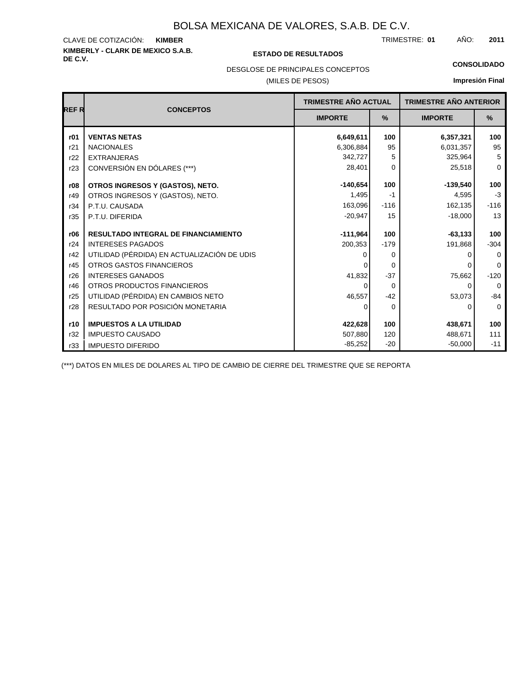# **KIMBERLY - CLARK DE MEXICO S.A.B.** CLAVE DE COTIZACIÓN:

### **DE C.V. ESTADO DE RESULTADOS**

TRIMESTRE: AÑO: **KIMBER 01 2011**

#### **CONSOLIDADO**

## DESGLOSE DE PRINCIPALES CONCEPTOS

### (MILES DE PESOS)

## **Impresión Final**

|             |                                             |                | <b>TRIMESTRE AÑO ACTUAL</b> |                | <b>TRIMESTRE AÑO ANTERIOR</b> |
|-------------|---------------------------------------------|----------------|-----------------------------|----------------|-------------------------------|
| <b>REFR</b> | <b>CONCEPTOS</b>                            | <b>IMPORTE</b> | $\%$                        | <b>IMPORTE</b> | $\%$                          |
| r01         | <b>VENTAS NETAS</b>                         | 6,649,611      | 100                         | 6,357,321      | 100                           |
| r21         | <b>NACIONALES</b>                           | 6,306,884      | 95                          | 6,031,357      | 95                            |
| r22         | <b>EXTRANJERAS</b>                          | 342,727        | 5                           | 325,964        | 5                             |
| r23         | CONVERSIÓN EN DÓLARES (***)                 | 28,401         | 0                           | 25,518         | $\mathbf 0$                   |
| r08         | OTROS INGRESOS Y (GASTOS), NETO.            | $-140,654$     | 100                         | $-139,540$     | 100                           |
| r49         | OTROS INGRESOS Y (GASTOS), NETO.            | 1,495          | $-1$                        | 4,595          | $-3$                          |
| r34         | P.T.U. CAUSADA                              | 163,096        | $-116$                      | 162,135        | $-116$                        |
| r35         | P.T.U. DIFERIDA                             | $-20,947$      | 15                          | $-18,000$      | 13                            |
| r06         | <b>RESULTADO INTEGRAL DE FINANCIAMIENTO</b> | $-111,964$     | 100                         | $-63,133$      | 100                           |
| r24         | <b>INTERESES PAGADOS</b>                    | 200,353        | $-179$                      | 191,868        | $-304$                        |
| r42         | UTILIDAD (PÉRDIDA) EN ACTUALIZACIÓN DE UDIS |                | 0                           | O              | 0                             |
| r45         | <b>OTROS GASTOS FINANCIEROS</b>             |                | $\Omega$                    |                | $\Omega$                      |
| r26         | <b>INTERESES GANADOS</b>                    | 41,832         | $-37$                       | 75,662         | $-120$                        |
| r46         | OTROS PRODUCTOS FINANCIEROS                 | 0              | $\Omega$                    | $\Omega$       | $\Omega$                      |
| r25         | UTILIDAD (PÉRDIDA) EN CAMBIOS NETO          | 46,557         | $-42$                       | 53,073         | $-84$                         |
| r28         | RESULTADO POR POSICIÓN MONETARIA            | $\Omega$       | $\Omega$                    | 0              | $\mathbf 0$                   |
| r10         | <b>IMPUESTOS A LA UTILIDAD</b>              | 422,628        | 100                         | 438,671        | 100                           |
| r32         | <b>IMPUESTO CAUSADO</b>                     | 507,880        | 120                         | 488,671        | 111                           |
| r33         | <b>IMPUESTO DIFERIDO</b>                    | $-85,252$      | $-20$                       | $-50,000$      | $-11$                         |

(\*\*\*) DATOS EN MILES DE DOLARES AL TIPO DE CAMBIO DE CIERRE DEL TRIMESTRE QUE SE REPORTA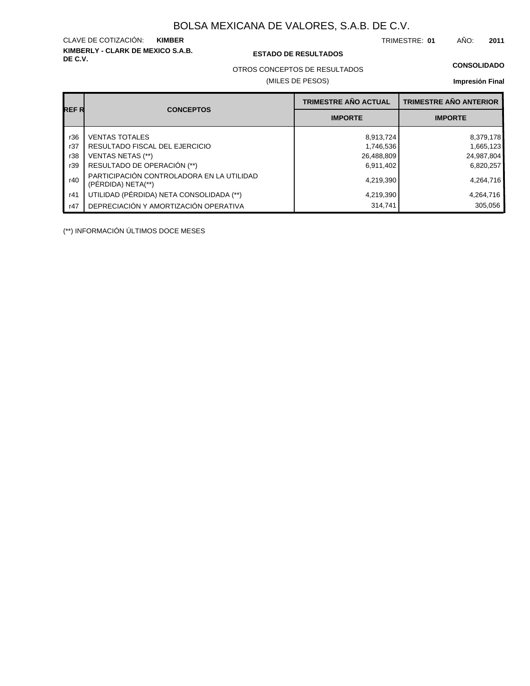**KIMBERLY - CLARK DE MEXICO S.A.B.** CLAVE DE COTIZACIÓN:

### **DE C.V. ESTADO DE RESULTADOS**

TRIMESTRE: AÑO: **KIMBER 01 2011**

OTROS CONCEPTOS DE RESULTADOS

(MILES DE PESOS)

#### **CONSOLIDADO**

**Impresión Final**

|       |                                                                 | <b>TRIMESTRE AÑO ACTUAL</b> | <b>TRIMESTRE AÑO ANTERIOR</b> |
|-------|-----------------------------------------------------------------|-----------------------------|-------------------------------|
| REF R | <b>CONCEPTOS</b>                                                | <b>IMPORTE</b>              | <b>IMPORTE</b>                |
| r36   | <b>VENTAS TOTALES</b>                                           | 8,913,724                   | 8,379,178                     |
| r37   | RESULTADO FISCAL DEL EJERCICIO                                  | 1,746,536                   | 1,665,123                     |
| r38   | <b>VENTAS NETAS (**)</b>                                        | 26,488,809                  | 24,987,804                    |
| r39   | RESULTADO DE OPERACIÓN (**)                                     | 6,911,402                   | 6,820,257                     |
| r40   | PARTICIPACIÓN CONTROLADORA EN LA UTILIDAD<br>(PÉRDIDA) NETA(**) | 4,219,390                   | 4,264,716                     |
| r41   | UTILIDAD (PÉRDIDA) NETA CONSOLIDADA (**)                        | 4,219,390                   | 4,264,716                     |
| r47   | DEPRECIACIÓN Y AMORTIZACIÓN OPERATIVA                           | 314,741                     | 305,056                       |

(\*\*) INFORMACIÓN ÚLTIMOS DOCE MESES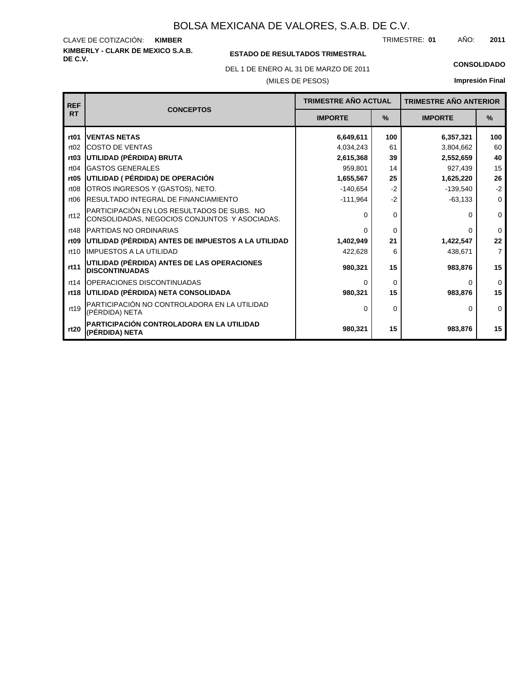**KIMBERLY - CLARK DE MEXICO S.A.B.** CLAVE DE COTIZACIÓN: TRIMESTRE: AÑO: **KIMBER 01 2011**

## **ESTADO DE RESULTADOS TRIMESTRAL**

DEL 1 DE ENERO AL 31 DE MARZO DE 2011 **CONSOLIDADO**

#### (MILES DE PESOS)

| <b>REF</b>       |                                                                                              | <b>TRIMESTRE AÑO ACTUAL</b> |               | <b>TRIMESTRE AÑO ANTERIOR</b> |                |
|------------------|----------------------------------------------------------------------------------------------|-----------------------------|---------------|-------------------------------|----------------|
| <b>RT</b>        | <b>CONCEPTOS</b>                                                                             | <b>IMPORTE</b>              | $\frac{9}{6}$ | <b>IMPORTE</b>                | $\frac{9}{6}$  |
| rt <sub>01</sub> | <b>IVENTAS NETAS</b>                                                                         | 6,649,611                   | 100           | 6,357,321                     | 100            |
| rt02             | <b>ICOSTO DE VENTAS</b>                                                                      | 4,034,243                   | 61            | 3,804,662                     | 60             |
| rt <sub>03</sub> | UTILIDAD (PÉRDIDA) BRUTA                                                                     | 2,615,368                   | 39            | 2,552,659                     | 40             |
| rt04             | <b>GASTOS GENERALES</b>                                                                      | 959,801                     | 14            | 927,439                       | 15             |
| rt <sub>05</sub> | UTILIDAD ( PÉRDIDA) DE OPERACIÓN                                                             | 1,655,567                   | 25            | 1,625,220                     | 26             |
| rt08             | OTROS INGRESOS Y (GASTOS), NETO.                                                             | $-140.654$                  | $-2$          | $-139.540$                    | $-2$           |
| rt <sub>06</sub> | <b>IRESULTADO INTEGRAL DE FINANCIAMIENTO</b>                                                 | $-111,964$                  | $-2$          | $-63,133$                     | $\mathbf 0$    |
| rt12             | PARTICIPACIÓN EN LOS RESULTADOS DE SUBS. NO<br>CONSOLIDADAS, NEGOCIOS CONJUNTOS Y ASOCIADAS. | $\Omega$                    | 0             | 0                             | $\mathbf 0$    |
| rt48             | <b>IPARTIDAS NO ORDINARIAS</b>                                                               | $\Omega$                    | 0             | 0                             | $\Omega$       |
| rt <sub>09</sub> | UTILIDAD (PÉRDIDA) ANTES DE IMPUESTOS A LA UTILIDAD                                          | 1,402,949                   | 21            | 1,422,547                     | 22             |
| rt10             | <b>IIMPUESTOS A LA UTILIDAD</b>                                                              | 422,628                     | 6             | 438,671                       | $\overline{7}$ |
| rt11             | UTILIDAD (PÉRDIDA) ANTES DE LAS OPERACIONES<br><b>DISCONTINUADAS</b>                         | 980,321                     | 15            | 983,876                       | 15             |
| rt14             | <b>IOPERACIONES DISCONTINUADAS</b>                                                           | $\Omega$                    | $\Omega$      | 0                             | $\mathbf 0$    |
| rt18             | UTILIDAD (PÉRDIDA) NETA CONSOLIDADA                                                          | 980,321                     | 15            | 983,876                       | 15             |
| rt19             | PARTICIPACIÓN NO CONTROLADORA EN LA UTILIDAD<br>(PÉRDIDA) NETA                               | $\Omega$                    | $\Omega$      | 0                             | $\Omega$       |
| rt20             | PARTICIPACIÓN CONTROLADORA EN LA UTILIDAD<br>(PÉRDIDA) NETA                                  | 980,321                     | 15            | 983,876                       | 15             |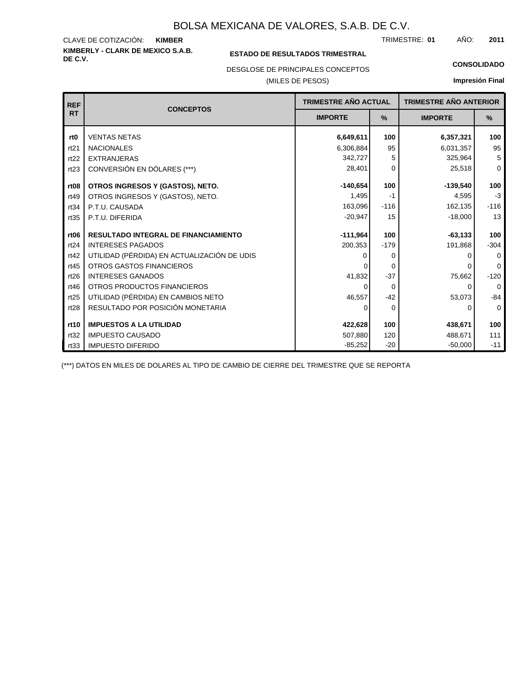#### **KIMBERLY - CLARK DE MEXICO S.A.B.** CLAVE DE COTIZACIÓN: TRIMESTRE: AÑO: **KIMBER 01 2011**

## **ESTADO DE RESULTADOS TRIMESTRAL**

DESGLOSE DE PRINCIPALES CONCEPTOS

### (MILES DE PESOS)

#### **CONSOLIDADO**

**Impresión Final**

| <b>REF</b>       | <b>CONCEPTOS</b>                            | <b>TRIMESTRE AÑO ACTUAL</b> |          | <b>TRIMESTRE AÑO ANTERIOR</b> |             |
|------------------|---------------------------------------------|-----------------------------|----------|-------------------------------|-------------|
| <b>RT</b>        |                                             | <b>IMPORTE</b>              | $\%$     | <b>IMPORTE</b>                | %           |
| rt <sub>0</sub>  | <b>VENTAS NETAS</b>                         | 6,649,611                   | 100      | 6,357,321                     | 100         |
| rt21             | <b>NACIONALES</b>                           | 6,306,884                   | 95       | 6,031,357                     | 95          |
| rt22             | <b>EXTRANJERAS</b>                          | 342,727                     | 5        | 325,964                       | 5           |
| rt23             | CONVERSIÓN EN DÓLARES (***)                 | 28,401                      | 0        | 25,518                        | $\mathbf 0$ |
| rt <sub>08</sub> | OTROS INGRESOS Y (GASTOS), NETO.            | $-140.654$                  | 100      | $-139,540$                    | 100         |
| rt49             | OTROS INGRESOS Y (GASTOS), NETO.            | 1,495                       | -1       | 4,595                         | $-3$        |
| rt34             | P.T.U. CAUSADA                              | 163,096                     | $-116$   | 162,135                       | $-116$      |
| rt35             | P.T.U. DIFERIDA                             | $-20,947$                   | 15       | $-18,000$                     | 13          |
|                  |                                             |                             |          |                               |             |
| rt <sub>06</sub> | <b>RESULTADO INTEGRAL DE FINANCIAMIENTO</b> | $-111,964$                  | 100      | $-63,133$                     | 100         |
| rt24             | <b>INTERESES PAGADOS</b>                    | 200,353                     | $-179$   | 191,868                       | $-304$      |
| rt42             | UTILIDAD (PÉRDIDA) EN ACTUALIZACIÓN DE UDIS |                             | 0        |                               | $\Omega$    |
| rt45             | <b>OTROS GASTOS FINANCIEROS</b>             |                             | 0        | <sup>0</sup>                  | $\Omega$    |
| rt26             | <b>INTERESES GANADOS</b>                    | 41,832                      | $-37$    | 75,662                        | $-120$      |
| rt46             | OTROS PRODUCTOS FINANCIEROS                 | 0                           | $\Omega$ | $\Omega$                      | 0           |
| rt25             | UTILIDAD (PÉRDIDA) EN CAMBIOS NETO          | 46,557                      | $-42$    | 53,073                        | $-84$       |
| rt28             | RESULTADO POR POSICIÓN MONETARIA            | $\Omega$                    | $\Omega$ | $\Omega$                      | $\mathbf 0$ |
|                  |                                             |                             |          |                               |             |
| rt10             | <b>IMPUESTOS A LA UTILIDAD</b>              | 422,628                     | 100      | 438,671                       | 100         |
| rt32             | <b>IMPUESTO CAUSADO</b>                     | 507,880                     | 120      | 488,671                       | 111         |
| rt33             | <b>IMPUESTO DIFERIDO</b>                    | $-85,252$                   | $-20$    | $-50,000$                     | $-11$       |

(\*\*\*) DATOS EN MILES DE DOLARES AL TIPO DE CAMBIO DE CIERRE DEL TRIMESTRE QUE SE REPORTA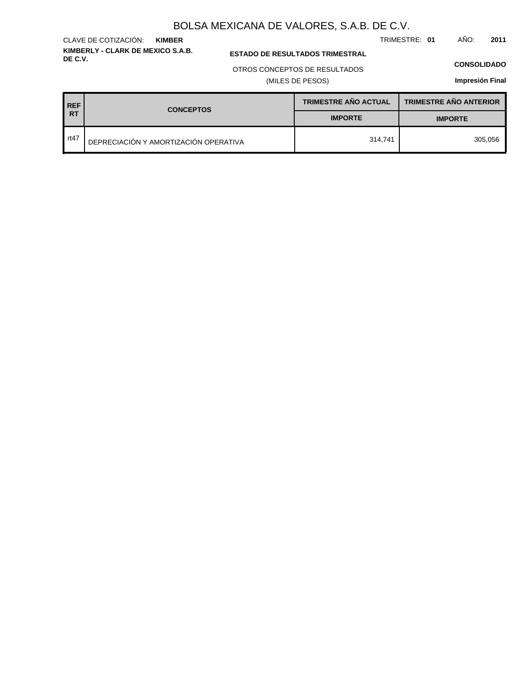TRIMESTRE: **01** AÑO: **2011**

**KIMBERLY - CLARK DE MEXICO S.A.B.** CLAVE DE COTIZACIÓN: **KIMBER**

**ESTADO DE RESULTADOS TRIMESTRAL** 

### OTROS CONCEPTOS DE RESULTADOS

(MILES DE PESOS)

#### **CONSOLIDADO**

| <b>REF</b><br><b>CONCEPTOS</b> |                                       | <b>TRIMESTRE AÑO ACTUAL</b> | <b>TRIMESTRE AÑO ANTERIOR</b> |  |
|--------------------------------|---------------------------------------|-----------------------------|-------------------------------|--|
| <b>RT</b>                      |                                       | <b>IMPORTE</b>              | <b>IMPORTE</b>                |  |
| rt47                           | DEPRECIACIÓN Y AMORTIZACIÓN OPERATIVA | 314.741                     | 305.056                       |  |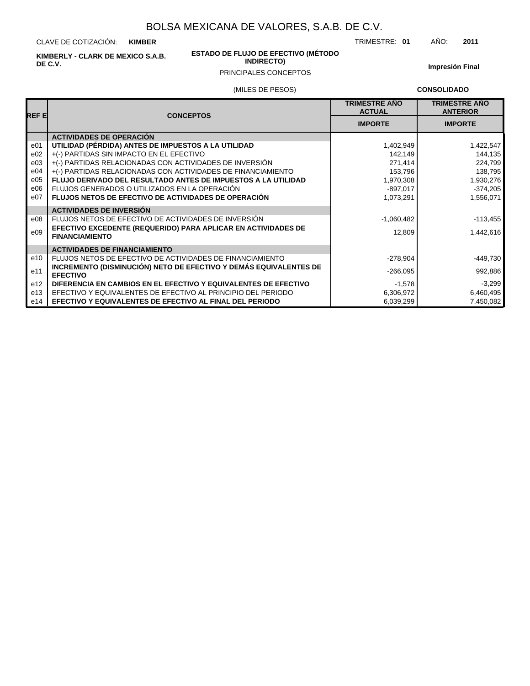CLAVE DE COTIZACIÓN: **KIMBER**

**KIMBERLY - CLARK DE MEXICO S.A.B. DE C.V.**

#### **ESTADO DE FLUJO DE EFECTIVO (MÉTODO INDIRECTO)**

(MILES DE PESOS)

**Impresión Final**

TRIMESTRE: **01** AÑO: **2011**

## PRINCIPALES CONCEPTOS

**CONSOLIDADO**

| REF EI          | <b>CONCEPTOS</b>                                                                       | <b>TRIMESTRE ANO</b><br><b>ACTUAL</b> | <b>TRIMESTRE AÑO</b><br><b>ANTERIOR</b> |
|-----------------|----------------------------------------------------------------------------------------|---------------------------------------|-----------------------------------------|
|                 |                                                                                        | <b>IMPORTE</b>                        | <b>IMPORTE</b>                          |
|                 | <b>ACTIVIDADES DE OPERACIÓN</b>                                                        |                                       |                                         |
| e <sub>01</sub> | UTILIDAD (PÉRDIDA) ANTES DE IMPUESTOS A LA UTILIDAD                                    | 1,402,949                             | 1,422,547                               |
| e02             | +(-) PARTIDAS SIN IMPACTO EN EL EFECTIVO                                               | 142,149                               | 144,135                                 |
| e03             | +(-) PARTIDAS RELACIONADAS CON ACTIVIDADES DE INVERSIÓN                                | 271,414                               | 224,799                                 |
| e04             | +(-) PARTIDAS RELACIONADAS CON ACTIVIDADES DE FINANCIAMIENTO                           | 153,796                               | 138,795                                 |
| e05             | <b>FLUJO DERIVADO DEL RESULTADO ANTES DE IMPUESTOS A LA UTILIDAD</b>                   | 1,970,308                             | 1,930,276                               |
| e06             | FLUJOS GENERADOS O UTILIZADOS EN LA OPERACIÓN                                          | $-897,017$                            | $-374,205$                              |
| e07             | <b>FLUJOS NETOS DE EFECTIVO DE ACTIVIDADES DE OPERACIÓN</b>                            | 1,073,291                             | 1,556,071                               |
|                 | <b>ACTIVIDADES DE INVERSIÓN</b>                                                        |                                       |                                         |
| e08             | FLUJOS NETOS DE EFECTIVO DE ACTIVIDADES DE INVERSIÓN                                   | $-1,060,482$                          | $-113,455$                              |
| e09             | EFECTIVO EXCEDENTE (REQUERIDO) PARA APLICAR EN ACTIVIDADES DE<br><b>FINANCIAMIENTO</b> | 12,809                                | 1,442,616                               |
|                 | <b>ACTIVIDADES DE FINANCIAMIENTO</b>                                                   |                                       |                                         |
| e10             | FLUJOS NETOS DE EFECTIVO DE ACTIVIDADES DE FINANCIAMIENTO                              | $-278,904$                            | $-449,730$                              |
| e11             | INCREMENTO (DISMINUCIÓN) NETO DE EFECTIVO Y DEMÁS EQUIVALENTES DE<br><b>EFECTIVO</b>   | $-266,095$                            | 992,886                                 |
| e <sub>12</sub> | DIFERENCIA EN CAMBIOS EN EL EFECTIVO Y EQUIVALENTES DE EFECTIVO                        | $-1,578$                              | $-3,299$                                |
| e13             | EFECTIVO Y EQUIVALENTES DE EFECTIVO AL PRINCIPIO DEL PERIODO                           | 6,306,972                             | 6,460,495                               |
| e14             | EFECTIVO Y EQUIVALENTES DE EFECTIVO AL FINAL DEL PERIODO                               | 6,039,299                             | 7,450,082                               |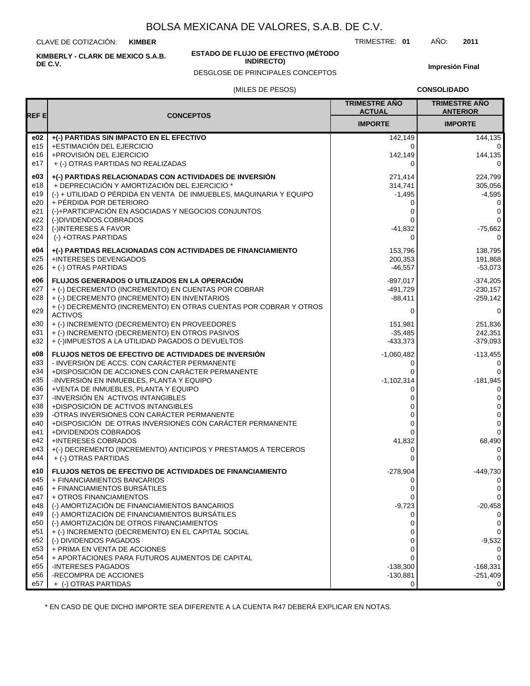CLAVE DE COTIZACIÓN: **KIMBER**

**KIMBERLY - CLARK DE MEXICO S.A.B. DE C.V.**

#### **ESTADO DE FLUJO DE EFECTIVO (MÉTODO INDIRECTO)**

DESGLOSE DE PRINCIPALES CONCEPTOS

TRIMESTRE: **01** AÑO: **2011**

**Impresión Final**

#### (MILES DE PESOS)

**CONSOLIDADO**

| REF E      |                                                                                                 | <b>TRIMESTRE AÑO</b><br><b>ACTUAL</b> | <b>TRIMESTRE AÑO</b><br><b>ANTERIOR</b> |
|------------|-------------------------------------------------------------------------------------------------|---------------------------------------|-----------------------------------------|
|            | <b>CONCEPTOS</b>                                                                                | <b>IMPORTE</b>                        | <b>IMPORTE</b>                          |
| e02        | +(-) PARTIDAS SIN IMPACTO EN EL EFECTIVO                                                        | 142,149                               | 144,135                                 |
| e15        | +ESTIMACIÓN DEL EJERCICIO                                                                       | 0                                     | $\mathbf 0$                             |
| e16        | +PROVISIÓN DEL EJERCICIO                                                                        | 142,149                               | 144,135                                 |
| e17        | + (-) OTRAS PARTIDAS NO REALIZADAS                                                              | $\Omega$                              | $\Omega$                                |
| e03        | +(-) PARTIDAS RELACIONADAS CON ACTIVIDADES DE INVERSIÓN                                         | 271,414                               | 224,799                                 |
| e18        | + DEPRECIACIÓN Y AMORTIZACIÓN DEL EJERCICIO *                                                   | 314,741                               | 305,056                                 |
| e19        | (-) + UTILIDAD O PÉRDIDA EN VENTA DE INMUEBLES, MAQUINARIA Y EQUIPO                             | $-1,495$                              | $-4,595$                                |
| e20        | + PÉRDIDA POR DETERIORO                                                                         | 0                                     | 0                                       |
| e21        | (-)+PARTICIPACIÓN EN ASOCIADAS Y NEGOCIOS CONJUNTOS                                             | 0                                     | 0                                       |
| e22        | (-)DIVIDENDOS COBRADOS                                                                          | 0                                     | $\mathbf 0$                             |
| e23<br>e24 | (-)INTERESES A FAVOR<br>(-) +OTRAS PARTIDAS                                                     | $-41,832$<br>$\Omega$                 | $-75,662$<br>0                          |
|            |                                                                                                 |                                       |                                         |
| e04        | +(-) PARTIDAS RELACIONADAS CON ACTIVIDADES DE FINANCIAMIENTO                                    | 153,796                               | 138,795                                 |
| e25        | <b>+INTERESES DEVENGADOS</b>                                                                    | 200,353                               | 191,868                                 |
| e26        | + (-) OTRAS PARTIDAS                                                                            | $-46,557$                             | $-53,073$                               |
| e06        | FLUJOS GENERADOS O UTILIZADOS EN LA OPERACIÓN                                                   | -897,017                              | $-374,205$                              |
| e27        | + (-) DECREMENTO (INCREMENTO) EN CUENTAS POR COBRAR                                             | -491,729                              | $-230.157$                              |
| e28        | + (-) DECREMENTO (INCREMENTO) EN INVENTARIOS                                                    | $-88,411$                             | $-259,142$                              |
| e29        | + (-) DECREMENTO (INCREMENTO) EN OTRAS CUENTAS POR COBRAR Y OTROS<br><b>ACTIVOS</b>             | 0                                     | $\mathbf 0$                             |
| e30        | + (-) INCREMENTO (DECREMENTO) EN PROVEEDORES                                                    | 151,981                               | 251,836                                 |
| e31        | + (-) INCREMENTO (DECREMENTO) EN OTROS PASIVOS                                                  | $-35,485$                             | 242,351                                 |
| e32        | + (-)IMPUESTOS A LA UTILIDAD PAGADOS O DEVUELTOS                                                | $-433,373$                            | $-379,093$                              |
| e08        | FLUJOS NETOS DE EFECTIVO DE ACTIVIDADES DE INVERSIÓN                                            | $-1,060,482$                          | $-113,455$                              |
| e33        | - INVERSIÓN DE ACCS. CON CARÁCTER PERMANENTE                                                    | 0                                     | 0                                       |
| e34        | +DISPOSICIÓN DE ACCIONES CON CARÁCTER PERMANENTE                                                |                                       | $\mathbf 0$                             |
| e35        | -INVERSIÓN EN INMUEBLES, PLANTA Y EQUIPO                                                        | $-1,102,314$                          | $-181,945$                              |
| e36        | +VENTA DE INMUEBLES, PLANTA Y EQUIPO                                                            | 0                                     | $\mathbf 0$                             |
| e37        | -INVERSIÓN EN ACTIVOS INTANGIBLES                                                               | 0                                     | $\mathbf 0$                             |
| e38        | +DISPOSICIÓN DE ACTIVOS INTANGIBLES<br>-OTRAS INVERSIONES CON CARÁCTER PERMANENTE               |                                       | 0                                       |
| e39<br>e40 | +DISPOSICIÓN DE OTRAS INVERSIONES CON CARÁCTER PERMANENTE                                       | 0<br>0                                | 0<br>$\mathbf 0$                        |
| e41        | +DIVIDENDOS COBRADOS                                                                            | 0                                     | $\mathbf 0$                             |
| e42        | +INTERESES COBRADOS                                                                             | 41,832                                | 68,490                                  |
| e43        | +(-) DECREMENTO (INCREMENTO) ANTICIPOS Y PRESTAMOS A TERCEROS                                   | 0                                     | 0                                       |
| e44        | + (-) OTRAS PARTIDAS                                                                            | 0                                     | $\mathbf 0$                             |
| e10        | FLUJOS NETOS DE EFECTIVO DE ACTIVIDADES DE FINANCIAMIENTO                                       | $-278,904$                            | -449,730                                |
| e45        | + FINANCIAMIENTOS BANCARIOS                                                                     | 0                                     | 0                                       |
| e46        | + FINANCIAMIENTOS BURSÁTILES                                                                    | 0                                     | $\mathbf 0$                             |
| e47        | + OTROS FINANCIAMIENTOS                                                                         | 0                                     | 0                                       |
| e48        | (-) AMORTIZACIÓN DE FINANCIAMIENTOS BANCARIOS                                                   | $-9,723$                              | $-20,458$                               |
| e49        | (-) AMORTIZACIÓN DE FINANCIAMIENTOS BURSÁTILES                                                  | 0                                     | 0                                       |
| e50<br>e51 | (-) AMORTIZACIÓN DE OTROS FINANCIAMIENTOS<br>+ (-) INCREMENTO (DECREMENTO) EN EL CAPITAL SOCIAL | 0                                     | 0<br>$\mathbf 0$                        |
| e52        | (-) DIVIDENDOS PAGADOS                                                                          | 0                                     | $-9,532$                                |
| e53        | + PRIMA EN VENTA DE ACCIONES                                                                    | 0                                     | 0                                       |
| e54        | + APORTACIONES PARA FUTUROS AUMENTOS DE CAPITAL                                                 |                                       | $\mathbf 0$                             |
| e55        | -INTERESES PAGADOS                                                                              | $-138,300$                            | $-168,331$                              |
| e56        | -RECOMPRA DE ACCIONES                                                                           | $-130,881$                            | $-251,409$                              |
| e57        | + (-) OTRAS PARTIDAS                                                                            | 0                                     | 0                                       |

\* EN CASO DE QUE DICHO IMPORTE SEA DIFERENTE A LA CUENTA R47 DEBERÁ EXPLICAR EN NOTAS.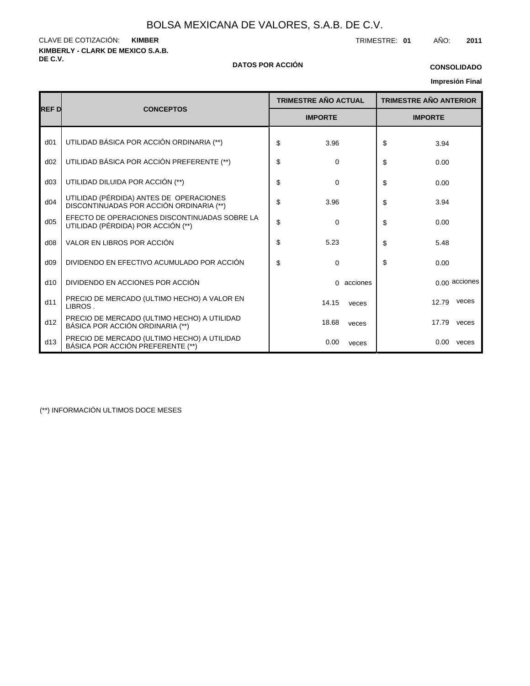**KIMBERLY - CLARK DE MEXICO S.A.B.** CLAVE DE COTIZACIÓN: TRIMESTRE: **01** AÑO: **2011 KIMBER**

#### **DE C.V. DATOS POR ACCIÓN**

### **CONSOLIDADO**

## **Impresión Final**

|                 |                                                                                     |    | <b>TRIMESTRE AÑO ACTUAL</b> |            | <b>TRIMESTRE AÑO ANTERIOR</b> |       |               |
|-----------------|-------------------------------------------------------------------------------------|----|-----------------------------|------------|-------------------------------|-------|---------------|
| <b>REFD</b>     | <b>CONCEPTOS</b>                                                                    |    | <b>IMPORTE</b>              |            | <b>IMPORTE</b>                |       |               |
| d <sub>01</sub> | UTILIDAD BÁSICA POR ACCIÓN ORDINARIA (**)                                           | \$ | 3.96                        |            | \$                            | 3.94  |               |
| d02             | UTILIDAD BÁSICA POR ACCIÓN PREFERENTE (**)                                          | \$ | 0                           |            | \$                            | 0.00  |               |
| d03             | UTILIDAD DILUIDA POR ACCIÓN (**)                                                    | \$ | $\mathbf 0$                 |            | \$                            | 0.00  |               |
| d04             | UTILIDAD (PÉRDIDA) ANTES DE OPERACIONES<br>DISCONTINUADAS POR ACCIÓN ORDINARIA (**) | \$ | 3.96                        |            | \$                            | 3.94  |               |
| d05             | EFECTO DE OPERACIONES DISCONTINUADAS SOBRE LA<br>UTILIDAD (PÉRDIDA) POR ACCIÓN (**) | \$ | 0                           |            | \$                            | 0.00  |               |
| d08             | VALOR EN LIBROS POR ACCIÓN                                                          | \$ | 5.23                        |            | \$                            | 5.48  |               |
| d09             | DIVIDENDO EN EFECTIVO ACUMULADO POR ACCIÓN                                          | \$ | 0                           |            | \$                            | 0.00  |               |
| d10             | DIVIDENDO EN ACCIONES POR ACCIÓN                                                    |    |                             | 0 acciones |                               |       | 0.00 acciones |
| d11             | PRECIO DE MERCADO (ULTIMO HECHO) A VALOR EN<br>LIBROS.                              |    | 14.15                       | veces      |                               | 12.79 | veces         |
| d12             | PRECIO DE MERCADO (ULTIMO HECHO) A UTILIDAD<br>BÁSICA POR ACCIÓN ORDINARIA (**)     |    | 18.68                       | veces      |                               | 17.79 | veces         |
| d13             | PRECIO DE MERCADO (ULTIMO HECHO) A UTILIDAD<br>BÁSICA POR ACCIÓN PREFERENTE (**)    |    | 0.00                        | veces      |                               |       | $0.00$ veces  |

(\*\*) INFORMACIÓN ULTIMOS DOCE MESES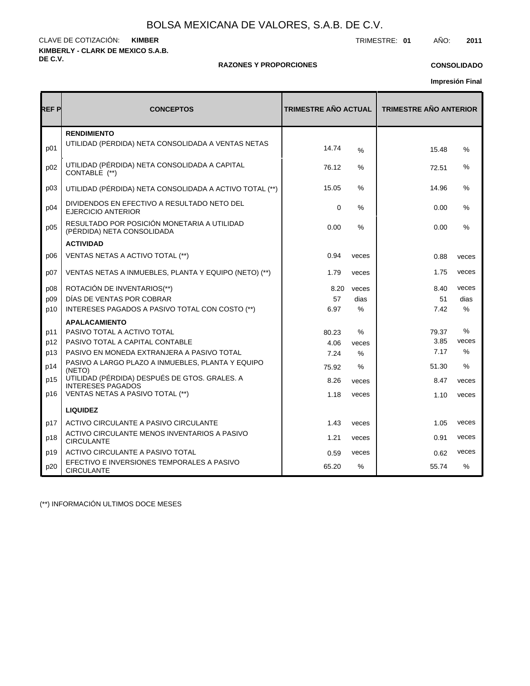**KIMBERLY - CLARK DE MEXICO S.A.B. DE C.V.** CLAVE DE COTIZACIÓN: TRIMESTRE: **01** AÑO: **2011 KIMBER**

#### **RAZONES Y PROPORCIONES**

## **CONSOLIDADO**

**Impresión Final**

| REF P | <b>CONCEPTOS</b>                                                          | <b>TRIMESTRE AÑO ACTUAL</b> |               | <b>TRIMESTRE AÑO ANTERIOR</b> |               |  |
|-------|---------------------------------------------------------------------------|-----------------------------|---------------|-------------------------------|---------------|--|
| p01   | <b>RENDIMIENTO</b><br>UTILIDAD (PERDIDA) NETA CONSOLIDADA A VENTAS NETAS  | 14.74                       | $\frac{0}{0}$ | 15.48                         | %             |  |
| p02   | UTILIDAD (PÉRDIDA) NETA CONSOLIDADA A CAPITAL<br>CONTABLE (**)            | 76.12                       | ℅             | 72.51                         | %             |  |
| p03   | UTILIDAD (PÉRDIDA) NETA CONSOLIDADA A ACTIVO TOTAL (**)                   | 15.05                       | $\%$          | 14.96                         | %             |  |
| p04   | DIVIDENDOS EN EFECTIVO A RESULTADO NETO DEL<br><b>EJERCICIO ANTERIOR</b>  | $\mathbf 0$                 | %             | 0.00                          | %             |  |
| p05   | RESULTADO POR POSICIÓN MONETARIA A UTILIDAD<br>(PÉRDIDA) NETA CONSOLIDADA | 0.00                        | $\%$          | 0.00                          | %             |  |
|       | <b>ACTIVIDAD</b>                                                          |                             |               |                               |               |  |
| D06   | VENTAS NETAS A ACTIVO TOTAL (**)                                          | 0.94                        | veces         | 0.88                          | veces         |  |
| p07   | VENTAS NETAS A INMUEBLES, PLANTA Y EQUIPO (NETO) (**)                     | 1.79                        | veces         | 1.75                          | veces         |  |
| p08   | ROTACIÓN DE INVENTARIOS(**)                                               | 8.20                        | veces         | 8.40                          | veces         |  |
| p09   | DÍAS DE VENTAS POR COBRAR                                                 | 57                          | dias          | 51                            | dias          |  |
| p10   | INTERESES PAGADOS A PASIVO TOTAL CON COSTO (**)                           | 6.97                        | $\%$          | 7.42                          | $\%$          |  |
|       | <b>APALACAMIENTO</b>                                                      |                             |               |                               |               |  |
| p11   | PASIVO TOTAL A ACTIVO TOTAL                                               | 80.23                       | %             | 79.37                         | %             |  |
| p12   | PASIVO TOTAL A CAPITAL CONTABLE                                           | 4.06                        | veces         | 3.85                          | veces         |  |
| p13   | PASIVO EN MONEDA EXTRANJERA A PASIVO TOTAL                                | 7.24                        | $\%$          | 7.17                          | $\frac{0}{0}$ |  |
| p14   | PASIVO A LARGO PLAZO A INMUEBLES, PLANTA Y EQUIPO<br>(NETO)               | 75.92                       | %             | 51.30                         | %             |  |
| p15   | UTILIDAD (PÉRDIDA) DESPUÉS DE GTOS. GRALES. A<br><b>INTERESES PAGADOS</b> | 8.26                        | veces         | 8.47                          | veces         |  |
| p16   | VENTAS NETAS A PASIVO TOTAL (**)                                          | 1.18                        | veces         | 1.10                          | veces         |  |
|       | <b>LIQUIDEZ</b>                                                           |                             |               |                               |               |  |
| p17   | ACTIVO CIRCULANTE A PASIVO CIRCULANTE                                     | 1.43                        | veces         | 1.05                          | veces         |  |
| p18   | ACTIVO CIRCULANTE MENOS INVENTARIOS A PASIVO<br><b>CIRCULANTE</b>         | 1.21                        | veces         | 0.91                          | veces         |  |
| p19   | ACTIVO CIRCULANTE A PASIVO TOTAL                                          | 0.59                        | veces         | 0.62                          | veces         |  |
| p20   | EFECTIVO E INVERSIONES TEMPORALES A PASIVO<br><b>CIRCULANTE</b>           | 65.20                       | %             | 55.74                         | $\%$          |  |

(\*\*) INFORMACIÓN ULTIMOS DOCE MESES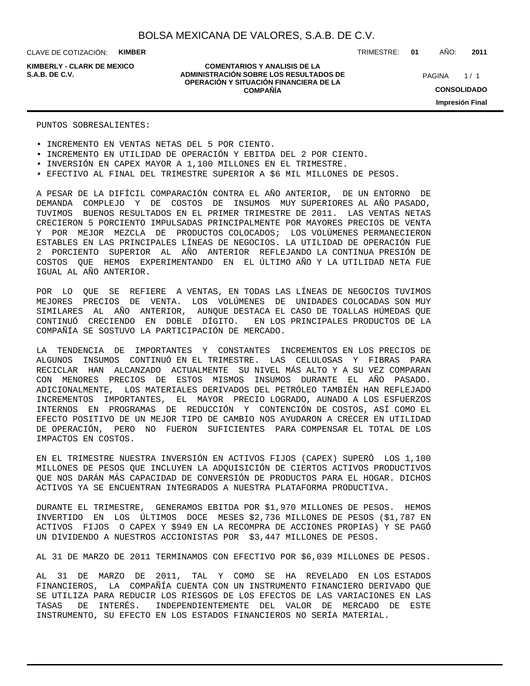**KIMBERLY - CLARK DE MEXICO**

#### **COMENTARIOS Y ANALISIS DE LA ADMINISTRACIÓN SOBRE LOS RESULTADOS DE S.A.B. DE C.V.** PAGINA / 1 **OPERACIÓN Y SITUACIÓN FINANCIERA DE LA COMPAÑÍA**

TRIMESTRE: **01** AÑO: **2011**

 $1/1$ **CONSOLIDADO Impresión Final**

#### PUNTOS SOBRESALIENTES:

- INCREMENTO EN VENTAS NETAS DEL 5 POR CIENTO.
- INCREMENTO EN UTILIDAD DE OPERACIÓN Y EBITDA DEL 2 POR CIENTO.
- INVERSIÓN EN CAPEX MAYOR A 1,100 MILLONES EN EL TRIMESTRE.
- EFECTIVO AL FINAL DEL TRIMESTRE SUPERIOR A \$6 MIL MILLONES DE PESOS.

A PESAR DE LA DIFÍCIL COMPARACIÓN CONTRA EL AÑO ANTERIOR, DE UN ENTORNO DE DEMANDA COMPLEJO Y DE COSTOS DE INSUMOS MUY SUPERIORES AL AÑO PASADO, TUVIMOS BUENOS RESULTADOS EN EL PRIMER TRIMESTRE DE 2011. LAS VENTAS NETAS CRECIERON 5 PORCIENTO IMPULSADAS PRINCIPALMENTE POR MAYORES PRECIOS DE VENTA Y POR MEJOR MEZCLA DE PRODUCTOS COLOCADOS; LOS VOLÚMENES PERMANECIERON ESTABLES EN LAS PRINCIPALES LÍNEAS DE NEGOCIOS. LA UTILIDAD DE OPERACIÓN FUE 2 PORCIENTO SUPERIOR AL AÑO ANTERIOR REFLEJANDO LA CONTINUA PRESIÓN DE COSTOS QUE HEMOS EXPERIMENTANDO EN EL ÚLTIMO AÑO Y LA UTILIDAD NETA FUE IGUAL AL AÑO ANTERIOR.

POR LO QUE SE REFIERE A VENTAS, EN TODAS LAS LÍNEAS DE NEGOCIOS TUVIMOS MEJORES PRECIOS DE VENTA. LOS VOLÚMENES DE UNIDADES COLOCADAS SON MUY SIMILARES AL AÑO ANTERIOR, AUNQUE DESTACA EL CASO DE TOALLAS HÚMEDAS QUE CONTINUÓ CRECIENDO EN DOBLE DÍGITO. EN LOS PRINCIPALES PRODUCTOS DE LA COMPAÑÍA SE SOSTUVO LA PARTICIPACIÓN DE MERCADO.

LA TENDENCIA DE IMPORTANTES Y CONSTANTES INCREMENTOS EN LOS PRECIOS DE ALGUNOS INSUMOS CONTINUÓ EN EL TRIMESTRE. LAS CELULOSAS Y FIBRAS PARA RECICLAR HAN ALCANZADO ACTUALMENTE SU NIVEL MÁS ALTO Y A SU VEZ COMPARAN CON MENORES PRECIOS DE ESTOS MISMOS INSUMOS DURANTE EL AÑO PASADO. ADICIONALMENTE, LOS MATERIALES DERIVADOS DEL PETRÓLEO TAMBIÉN HAN REFLEJADO INCREMENTOS IMPORTANTES, EL MAYOR PRECIO LOGRADO, AUNADO A LOS ESFUERZOS INTERNOS EN PROGRAMAS DE REDUCCIÓN Y CONTENCIÓN DE COSTOS, ASÍ COMO EL EFECTO POSITIVO DE UN MEJOR TIPO DE CAMBIO NOS AYUDARON A CRECER EN UTILIDAD DE OPERACIÓN, PERO NO FUERON SUFICIENTES PARA COMPENSAR EL TOTAL DE LOS IMPACTOS EN COSTOS.

EN EL TRIMESTRE NUESTRA INVERSIÓN EN ACTIVOS FIJOS (CAPEX) SUPERÓ LOS 1,100 MILLONES DE PESOS QUE INCLUYEN LA ADQUISICIÓN DE CIERTOS ACTIVOS PRODUCTIVOS QUE NOS DARÁN MÁS CAPACIDAD DE CONVERSIÓN DE PRODUCTOS PARA EL HOGAR. DICHOS ACTIVOS YA SE ENCUENTRAN INTEGRADOS A NUESTRA PLATAFORMA PRODUCTIVA.

DURANTE EL TRIMESTRE, GENERAMOS EBITDA POR \$1,970 MILLONES DE PESOS. HEMOS INVERTIDO EN LOS ÚLTIMOS DOCE MESES \$2,736 MILLONES DE PESOS (\$1,787 EN ACTIVOS FIJOS O CAPEX Y \$949 EN LA RECOMPRA DE ACCIONES PROPIAS) Y SE PAGÓ UN DIVIDENDO A NUESTROS ACCIONISTAS POR \$3,447 MILLONES DE PESOS.

AL 31 DE MARZO DE 2011 TERMINAMOS CON EFECTIVO POR \$6,039 MILLONES DE PESOS.

AL 31 DE MARZO DE 2011, TAL Y COMO SE HA REVELADO EN LOS ESTADOS FINANCIEROS, LA COMPAÑÍA CUENTA CON UN INSTRUMENTO FINANCIERO DERIVADO QUE SE UTILIZA PARA REDUCIR LOS RIESGOS DE LOS EFECTOS DE LAS VARIACIONES EN LAS TASAS DE INTERÉS. INDEPENDIENTEMENTE DEL VALOR DE MERCADO DE ESTE INSTRUMENTO, SU EFECTO EN LOS ESTADOS FINANCIEROS NO SERÍA MATERIAL.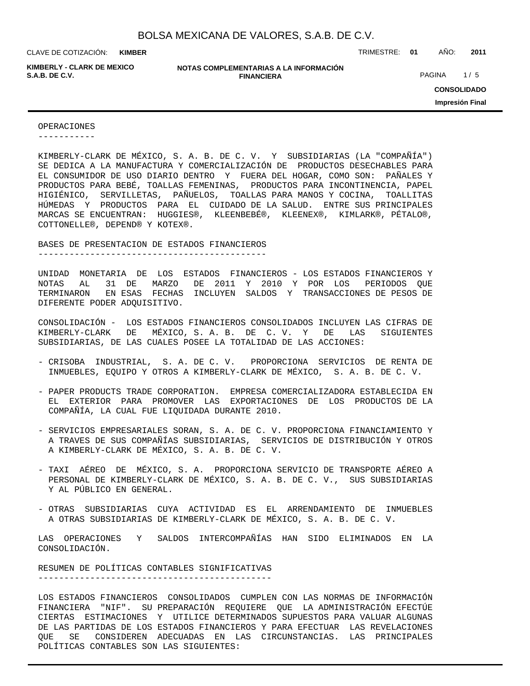**KIMBER**

**KIMBERLY - CLARK DE MEXICO**

**NOTAS COMPLEMENTARIAS A LA INFORMACIÓN FINANCIERA S.A.B. DE C.V.** PAGINA 1/5

CLAVE DE COTIZACIÓN: TRIMESTRE: **01** AÑO: **2011**

**CONSOLIDADO Impresión Final**

#### OPERACIONES

-----------

KIMBERLY-CLARK DE MÉXICO, S. A. B. DE C. V. Y SUBSIDIARIAS (LA "COMPAÑÍA") SE DEDICA A LA MANUFACTURA Y COMERCIALIZACIÓN DE PRODUCTOS DESECHABLES PARA EL CONSUMIDOR DE USO DIARIO DENTRO Y FUERA DEL HOGAR, COMO SON: PAÑALES Y PRODUCTOS PARA BEBÉ, TOALLAS FEMENINAS, PRODUCTOS PARA INCONTINENCIA, PAPEL HIGIÉNICO, SERVILLETAS, PAÑUELOS, TOALLAS PARA MANOS Y COCINA, TOALLITAS HÚMEDAS Y PRODUCTOS PARA EL CUIDADO DE LA SALUD. ENTRE SUS PRINCIPALES MARCAS SE ENCUENTRAN: HUGGIES®, KLEENBEBÉ®, KLEENEX®, KIMLARK®, PÉTALO®, COTTONELLE®, DEPEND® Y KOTEX®.

BASES DE PRESENTACION DE ESTADOS FINANCIEROS

--------------------------------------------

UNIDAD MONETARIA DE LOS ESTADOS FINANCIEROS - LOS ESTADOS FINANCIEROS Y NOTAS AL 31 DE MARZO DE 2011 Y 2010 Y POR LOS PERIODOS QUE TERMINARON EN ESAS FECHAS INCLUYEN SALDOS Y TRANSACCIONES DE PESOS DE DIFERENTE PODER ADQUISITIVO.

CONSOLIDACIÓN - LOS ESTADOS FINANCIEROS CONSOLIDADOS INCLUYEN LAS CIFRAS DE KIMBERLY-CLARK DE MÉXICO, S. A. B. DE C. V. Y DE LAS SIGUIENTES SUBSIDIARIAS, DE LAS CUALES POSEE LA TOTALIDAD DE LAS ACCIONES:

- CRISOBA INDUSTRIAL, S. A. DE C. V. PROPORCIONA SERVICIOS DE RENTA DE INMUEBLES, EQUIPO Y OTROS A KIMBERLY-CLARK DE MÉXICO, S. A. B. DE C. V.
- PAPER PRODUCTS TRADE CORPORATION. EMPRESA COMERCIALIZADORA ESTABLECIDA EN EL EXTERIOR PARA PROMOVER LAS EXPORTACIONES DE LOS PRODUCTOS DE LA COMPAÑÍA, LA CUAL FUE LIQUIDADA DURANTE 2010.
- SERVICIOS EMPRESARIALES SORAN, S. A. DE C. V. PROPORCIONA FINANCIAMIENTO Y A TRAVES DE SUS COMPAÑÍAS SUBSIDIARIAS, SERVICIOS DE DISTRIBUCIÓN Y OTROS A KIMBERLY-CLARK DE MÉXICO, S. A. B. DE C. V.
- TAXI AÉREO DE MÉXICO, S. A. PROPORCIONA SERVICIO DE TRANSPORTE AÉREO A PERSONAL DE KIMBERLY-CLARK DE MÉXICO, S. A. B. DE C. V., SUS SUBSIDIARIAS Y AL PÚBLICO EN GENERAL.
- OTRAS SUBSIDIARIAS CUYA ACTIVIDAD ES EL ARRENDAMIENTO DE INMUEBLES A OTRAS SUBSIDIARIAS DE KIMBERLY-CLARK DE MÉXICO, S. A. B. DE C. V.

LAS OPERACIONES Y SALDOS INTERCOMPAÑÍAS HAN SIDO ELIMINADOS EN LA CONSOLIDACIÓN.

RESUMEN DE POLÍTICAS CONTABLES SIGNIFICATIVAS ---------------------------------------------

LOS ESTADOS FINANCIEROS CONSOLIDADOS CUMPLEN CON LAS NORMAS DE INFORMACIÓN FINANCIERA "NIF". SU PREPARACIÓN REQUIERE QUE LA ADMINISTRACIÓN EFECTÚE CIERTAS ESTIMACIONES Y UTILICE DETERMINADOS SUPUESTOS PARA VALUAR ALGUNAS DE LAS PARTIDAS DE LOS ESTADOS FINANCIEROS Y PARA EFECTUAR LAS REVELACIONES QUE SE CONSIDEREN ADECUADAS EN LAS CIRCUNSTANCIAS. LAS PRINCIPALES POLÍTICAS CONTABLES SON LAS SIGUIENTES: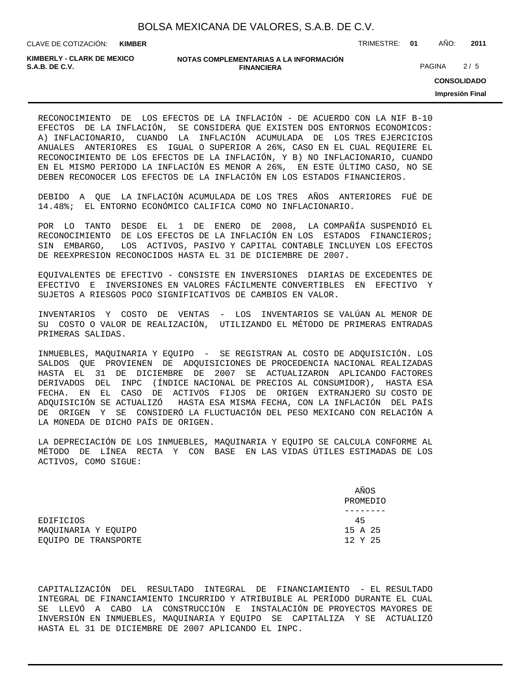**KIMBER**

CLAVE DE COTIZACIÓN: TRIMESTRE: **01** AÑO: **2011**

**KIMBERLY - CLARK DE MEXICO**

#### **NOTAS COMPLEMENTARIAS A LA INFORMACIÓN FINANCIERA S.A.B. DE C.V.** PAGINA 2 / 5

**CONSOLIDADO**

**Impresión Final**

RECONOCIMIENTO DE LOS EFECTOS DE LA INFLACIÓN - DE ACUERDO CON LA NIF B-10 EFECTOS DE LA INFLACIÓN, SE CONSIDERA QUE EXISTEN DOS ENTORNOS ECONOMICOS: A) INFLACIONARIO, CUANDO LA INFLACIÓN ACUMULADA DE LOS TRES EJERCICIOS ANUALES ANTERIORES ES IGUAL O SUPERIOR A 26%, CASO EN EL CUAL REQUIERE EL RECONOCIMIENTO DE LOS EFECTOS DE LA INFLACIÓN, Y B) NO INFLACIONARIO, CUANDO EN EL MISMO PERIODO LA INFLACIÓN ES MENOR A 26%, EN ESTE ÚLTIMO CASO, NO SE DEBEN RECONOCER LOS EFECTOS DE LA INFLACIÓN EN LOS ESTADOS FINANCIEROS.

DEBIDO A QUE LA INFLACIÓN ACUMULADA DE LOS TRES AÑOS ANTERIORES FUÉ DE 14.48%; EL ENTORNO ECONÓMICO CALIFICA COMO NO INFLACIONARIO.

POR LO TANTO DESDE EL 1 DE ENERO DE 2008, LA COMPAÑÍA SUSPENDIÓ EL RECONOCIMIENTO DE LOS EFECTOS DE LA INFLACIÓN EN LOS ESTADOS FINANCIEROS; SIN EMBARGO, LOS ACTIVOS, PASIVO Y CAPITAL CONTABLE INCLUYEN LOS EFECTOS DE REEXPRESION RECONOCIDOS HASTA EL 31 DE DICIEMBRE DE 2007.

EQUIVALENTES DE EFECTIVO - CONSISTE EN INVERSIONES DIARIAS DE EXCEDENTES DE EFECTIVO E INVERSIONES EN VALORES FÁCILMENTE CONVERTIBLES EN EFECTIVO Y SUJETOS A RIESGOS POCO SIGNIFICATIVOS DE CAMBIOS EN VALOR.

INVENTARIOS Y COSTO DE VENTAS - LOS INVENTARIOS SE VALÚAN AL MENOR DE SU COSTO O VALOR DE REALIZACIÓN, UTILIZANDO EL MÉTODO DE PRIMERAS ENTRADAS PRIMERAS SALIDAS.

INMUEBLES, MAQUINARIA Y EQUIPO - SE REGISTRAN AL COSTO DE ADQUISICIÓN. LOS SALDOS QUE PROVIENEN DE ADQUISICIONES DE PROCEDENCIA NACIONAL REALIZADAS HASTA EL 31 DE DICIEMBRE DE 2007 SE ACTUALIZARON APLICANDO FACTORES DERIVADOS DEL INPC (ÍNDICE NACIONAL DE PRECIOS AL CONSUMIDOR), HASTA ESA FECHA. EN EL CASO DE ACTIVOS FIJOS DE ORIGEN EXTRANJERO SU COSTO DE ADQUISICIÓN SE ACTUALIZÓ HASTA ESA MISMA FECHA, CON LA INFLACIÓN DEL PAÍS DE ORIGEN Y SE CONSIDERÓ LA FLUCTUACIÓN DEL PESO MEXICANO CON RELACIÓN A LA MONEDA DE DICHO PAÍS DE ORIGEN.

LA DEPRECIACIÓN DE LOS INMUEBLES, MAQUINARIA Y EQUIPO SE CALCULA CONFORME AL MÉTODO DE LÍNEA RECTA Y CON BASE EN LAS VIDAS ÚTILES ESTIMADAS DE LOS ACTIVOS, COMO SIGUE:

|                      | AÑOS<br>PROMEDIO |
|----------------------|------------------|
|                      |                  |
| EDIFICIOS            | 45               |
| MAOUINARIA Y EOUIPO  | 15 A 25          |
| EOUIPO DE TRANSPORTE | 12 Y 25          |

CAPITALIZACIÓN DEL RESULTADO INTEGRAL DE FINANCIAMIENTO - EL RESULTADO INTEGRAL DE FINANCIAMIENTO INCURRIDO Y ATRIBUIBLE AL PERÍODO DURANTE EL CUAL SE LLEVÓ A CABO LA CONSTRUCCIÓN E INSTALACIÓN DE PROYECTOS MAYORES DE INVERSIÓN EN INMUEBLES, MAQUINARIA Y EQUIPO SE CAPITALIZA Y SE ACTUALIZÓ HASTA EL 31 DE DICIEMBRE DE 2007 APLICANDO EL INPC.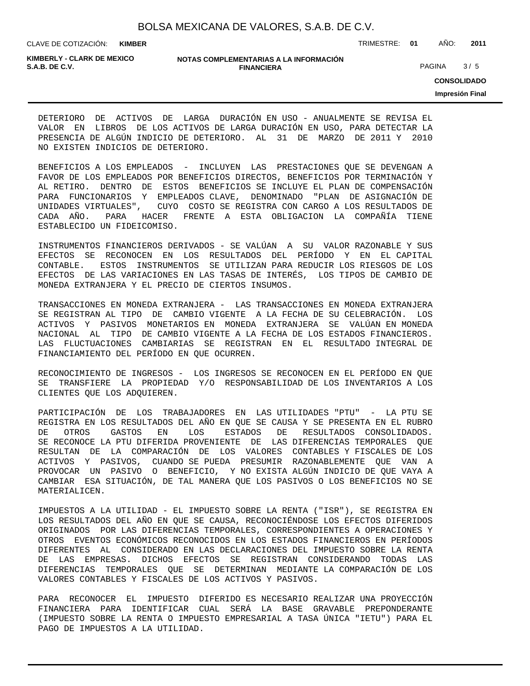CLAVE DE COTIZACIÓN: TRIMESTRE: **01** AÑO: **2011 KIMBER**

**KIMBERLY - CLARK DE MEXICO**

#### **NOTAS COMPLEMENTARIAS A LA INFORMACIÓN FINANCIERA S.A.B. DE C.V.** PAGINA 3 / 5

**CONSOLIDADO**

**Impresión Final**

DETERIORO DE ACTIVOS DE LARGA DURACIÓN EN USO - ANUALMENTE SE REVISA EL VALOR EN LIBROS DE LOS ACTIVOS DE LARGA DURACIÓN EN USO, PARA DETECTAR LA PRESENCIA DE ALGÚN INDICIO DE DETERIORO. AL 31 DE MARZO DE 2011 Y 2010 NO EXISTEN INDICIOS DE DETERIORO.

BENEFICIOS A LOS EMPLEADOS - INCLUYEN LAS PRESTACIONES QUE SE DEVENGAN A FAVOR DE LOS EMPLEADOS POR BENEFICIOS DIRECTOS, BENEFICIOS POR TERMINACIÓN Y AL RETIRO. DENTRO DE ESTOS BENEFICIOS SE INCLUYE EL PLAN DE COMPENSACIÓN PARA FUNCIONARIOS Y EMPLEADOS CLAVE, DENOMINADO "PLAN DE ASIGNACIÓN DE UNIDADES VIRTUALES", CUYO COSTO SE REGISTRA CON CARGO A LOS RESULTADOS DE CADA AÑO. PARA HACER FRENTE A ESTA OBLIGACION LA COMPAÑÍA TIENE ESTABLECIDO UN FIDEICOMISO.

INSTRUMENTOS FINANCIEROS DERIVADOS - SE VALÚAN A SU VALOR RAZONABLE Y SUS EFECTOS SE RECONOCEN EN LOS RESULTADOS DEL PERÍODO Y EN EL CAPITAL CONTABLE. ESTOS INSTRUMENTOS SE UTILIZAN PARA REDUCIR LOS RIESGOS DE LOS EFECTOS DE LAS VARIACIONES EN LAS TASAS DE INTERÉS, LOS TIPOS DE CAMBIO DE MONEDA EXTRANJERA Y EL PRECIO DE CIERTOS INSUMOS.

TRANSACCIONES EN MONEDA EXTRANJERA - LAS TRANSACCIONES EN MONEDA EXTRANJERA SE REGISTRAN AL TIPO DE CAMBIO VIGENTE A LA FECHA DE SU CELEBRACIÓN. LOS ACTIVOS Y PASIVOS MONETARIOS EN MONEDA EXTRANJERA SE VALÚAN EN MONEDA NACIONAL AL TIPO DE CAMBIO VIGENTE A LA FECHA DE LOS ESTADOS FINANCIEROS. LAS FLUCTUACIONES CAMBIARIAS SE REGISTRAN EN EL RESULTADO INTEGRAL DE FINANCIAMIENTO DEL PERÍODO EN QUE OCURREN.

RECONOCIMIENTO DE INGRESOS - LOS INGRESOS SE RECONOCEN EN EL PERÍODO EN QUE SE TRANSFIERE LA PROPIEDAD Y/O RESPONSABILIDAD DE LOS INVENTARIOS A LOS CLIENTES QUE LOS ADQUIEREN.

PARTICIPACIÓN DE LOS TRABAJADORES EN LAS UTILIDADES "PTU" - LA PTU SE REGISTRA EN LOS RESULTADOS DEL AÑO EN QUE SE CAUSA Y SE PRESENTA EN EL RUBRO DE OTROS GASTOS EN LOS ESTADOS DE RESULTADOS CONSOLIDADOS. SE RECONOCE LA PTU DIFERIDA PROVENIENTE DE LAS DIFERENCIAS TEMPORALES QUE RESULTAN DE LA COMPARACIÓN DE LOS VALORES CONTABLES Y FISCALES DE LOS ACTIVOS Y PASIVOS, CUANDO SE PUEDA PRESUMIR RAZONABLEMENTE QUE VAN A PROVOCAR UN PASIVO O BENEFICIO, Y NO EXISTA ALGÚN INDICIO DE QUE VAYA A CAMBIAR ESA SITUACIÓN, DE TAL MANERA QUE LOS PASIVOS O LOS BENEFICIOS NO SE MATERIALICEN.

IMPUESTOS A LA UTILIDAD - EL IMPUESTO SOBRE LA RENTA ("ISR"), SE REGISTRA EN LOS RESULTADOS DEL AÑO EN QUE SE CAUSA, RECONOCIÉNDOSE LOS EFECTOS DIFERIDOS ORIGINADOS POR LAS DIFERENCIAS TEMPORALES, CORRESPONDIENTES A OPERACIONES Y OTROS EVENTOS ECONÓMICOS RECONOCIDOS EN LOS ESTADOS FINANCIEROS EN PERÍODOS DIFERENTES AL CONSIDERADO EN LAS DECLARACIONES DEL IMPUESTO SOBRE LA RENTA DE LAS EMPRESAS. DICHOS EFECTOS SE REGISTRAN CONSIDERANDO TODAS LAS DIFERENCIAS TEMPORALES QUE SE DETERMINAN MEDIANTE LA COMPARACIÓN DE LOS VALORES CONTABLES Y FISCALES DE LOS ACTIVOS Y PASIVOS.

PARA RECONOCER EL IMPUESTO DIFERIDO ES NECESARIO REALIZAR UNA PROYECCIÓN FINANCIERA PARA IDENTIFICAR CUAL SERÁ LA BASE GRAVABLE PREPONDERANTE (IMPUESTO SOBRE LA RENTA O IMPUESTO EMPRESARIAL A TASA ÚNICA "IETU") PARA EL PAGO DE IMPUESTOS A LA UTILIDAD.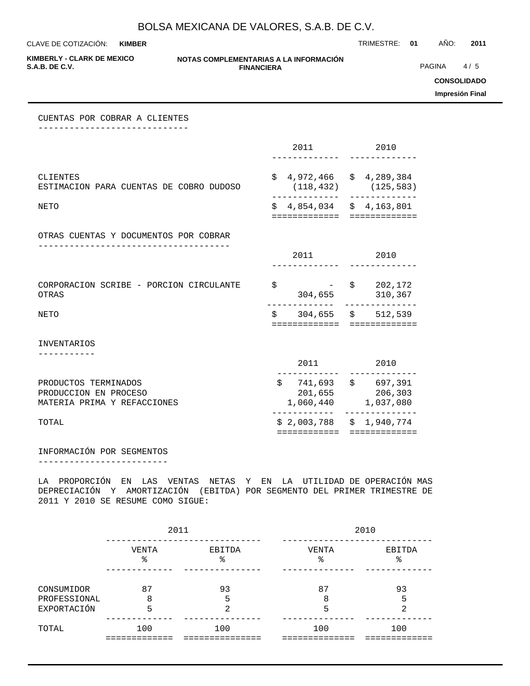**KIMBER**

CLAVE DE COTIZACIÓN: TRIMESTRE: **01** AÑO: **2011**

**KIMBERLY - CLARK DE MEXICO**

#### **NOTAS COMPLEMENTARIAS A LA INFORMACIÓN FINANCIERA**

**PAGINA** 4/5

**CONSOLIDADO**

**Impresión Final**

CUENTAS POR COBRAR A CLIENTES -----------------------------

|                                                                              | 2011                                                      | 2010                                               |
|------------------------------------------------------------------------------|-----------------------------------------------------------|----------------------------------------------------|
| CLIENTES<br>ESTIMACION PARA CUENTAS DE COBRO DUDOSO                          | \$                                                        | 4,972,466 \$4,289,384<br>$(118, 432)$ $(125, 583)$ |
| <b>NETO</b>                                                                  | $$4,854,034$ $$4,163,801$<br>============================ |                                                    |
| OTRAS CUENTAS Y DOCUMENTOS POR COBRAR                                        |                                                           |                                                    |
|                                                                              | 2011 2012                                                 | 2010                                               |
| CORPORACION SCRIBE - PORCION CIRCULANTE<br>OTRAS                             | \$                                                        | $-$ \$ 202,172<br>304,655 310,367                  |
| <b>NETO</b>                                                                  | $$304,655$ \$ 512,539<br>============= =============      |                                                    |
| <b>INVENTARIOS</b>                                                           |                                                           |                                                    |
|                                                                              | 2011 2012                                                 | 2010                                               |
| PRODUCTOS TERMINADOS<br>PRODUCCION EN PROCESO<br>MATERIA PRIMA Y REFACCIONES | $$741,693$ $$697,391$<br>201,655 206,303                  | 1,060,440 1,037,080                                |
| TOTAL                                                                        | ============                                              | $$2,003,788 \t$ 1,940,774$<br>=============        |

#### INFORMACIÓN POR SEGMENTOS -------------------------

LA PROPORCIÓN EN LAS VENTAS NETAS Y EN LA UTILIDAD DE OPERACIÓN MAS DEPRECIACIÓN Y AMORTIZACIÓN (EBITDA) POR SEGMENTO DEL PRIMER TRIMESTRE DE 2011 Y 2010 SE RESUME COMO SIGUE:

|                                           | 2011         |              | 2010         |                    |  |  |
|-------------------------------------------|--------------|--------------|--------------|--------------------|--|--|
|                                           | VENTA<br>°   | EBITDA<br>ిన | VENTA<br>ిన  | EBITDA<br>ిన       |  |  |
| CONSUMIDOR<br>PROFESSIONAL<br>EXPORTACIÓN | 87<br>8<br>5 | 93<br>5<br>≘ | 87<br>8<br>5 | 93<br>5<br>◠<br>╱. |  |  |
| TOTAL                                     | 100          | 100          | 100          | 100                |  |  |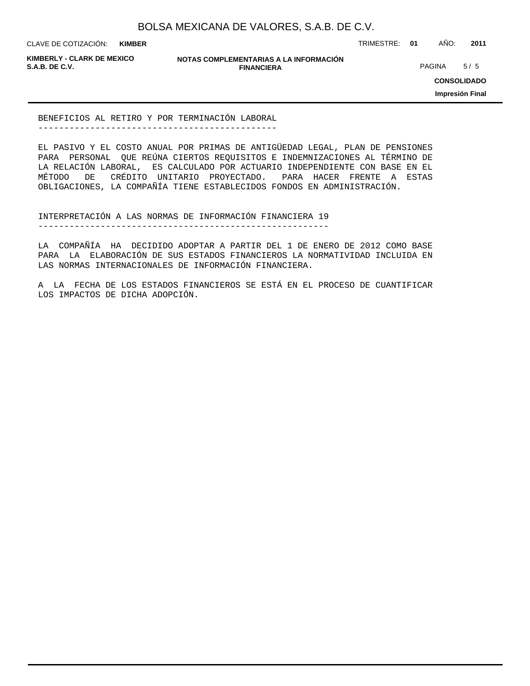**KIMBER**

CLAVE DE COTIZACIÓN: TRIMESTRE: **01** AÑO: **2011**

**KIMBERLY - CLARK DE MEXICO**

**NOTAS COMPLEMENTARIAS A LA INFORMACIÓN FINANCIERA**

**PAGINA** 5/5

**CONSOLIDADO**

**Impresión Final**

BENEFICIOS AL RETIRO Y POR TERMINACIÓN LABORAL ----------------------------------------------

LOS IMPACTOS DE DICHA ADOPCIÓN.

EL PASIVO Y EL COSTO ANUAL POR PRIMAS DE ANTIGÜEDAD LEGAL, PLAN DE PENSIONES PARA PERSONAL QUE REÚNA CIERTOS REQUISITOS E INDEMNIZACIONES AL TÉRMINO DE LA RELACIÓN LABORAL, ES CALCULADO POR ACTUARIO INDEPENDIENTE CON BASE EN EL MÉTODO DE CRÉDITO UNITARIO PROYECTADO. PARA HACER FRENTE A ESTAS OBLIGACIONES, LA COMPAÑÍA TIENE ESTABLECIDOS FONDOS EN ADMINISTRACIÓN.

INTERPRETACIÓN A LAS NORMAS DE INFORMACIÓN FINANCIERA 19 --------------------------------------------------------

LA COMPAÑÍA HA DECIDIDO ADOPTAR A PARTIR DEL 1 DE ENERO DE 2012 COMO BASE PARA LA ELABORACIÓN DE SUS ESTADOS FINANCIEROS LA NORMATIVIDAD INCLUIDA EN

LAS NORMAS INTERNACIONALES DE INFORMACIÓN FINANCIERA. A LA FECHA DE LOS ESTADOS FINANCIEROS SE ESTÁ EN EL PROCESO DE CUANTIFICAR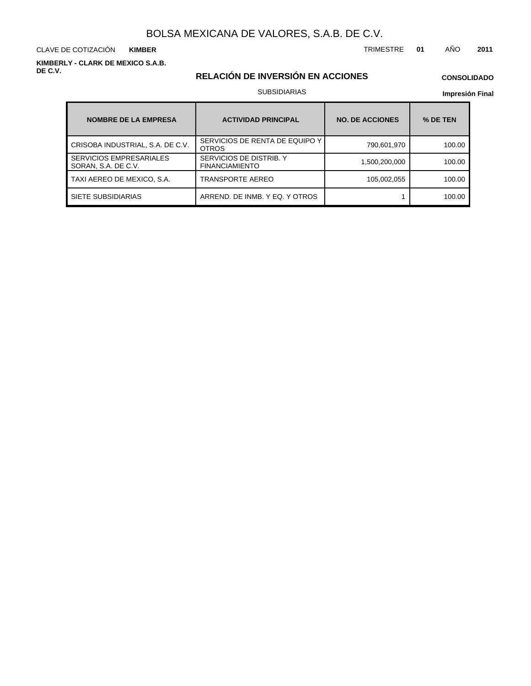CLAVE DE COTIZACIÓN TRIMESTRE **01** AÑO **2011 KIMBER**

**KIMBERLY - CLARK DE MEXICO S.A.B. DE C.V.**

## **RELACIÓN DE INVERSIÓN EN ACCIONES**

## **CONSOLIDADO**

#### SUBSIDIARIAS

| <b>NOMBRE DE LA EMPRESA</b>                           | <b>ACTIVIDAD PRINCIPAL</b>                       | <b>NO. DE ACCIONES</b> | % DE TEN |
|-------------------------------------------------------|--------------------------------------------------|------------------------|----------|
| CRISOBA INDUSTRIAL, S.A. DE C.V.                      | SERVICIOS DE RENTA DE EQUIPO Y<br><b>OTROS</b>   | 790,601,970            | 100.00   |
| <b>SERVICIOS EMPRESARIALES</b><br>SORAN, S.A. DE C.V. | SERVICIOS DE DISTRIB. Y<br><b>FINANCIAMIENTO</b> | 1,500,200,000          | 100.00   |
| TAXI AEREO DE MEXICO, S.A.                            | <b>TRANSPORTE AEREO</b>                          | 105,002,055            | 100.00   |
| SIETE SUBSIDIARIAS                                    | ARREND. DE INMB. Y EQ. Y OTROS                   |                        | 100.00   |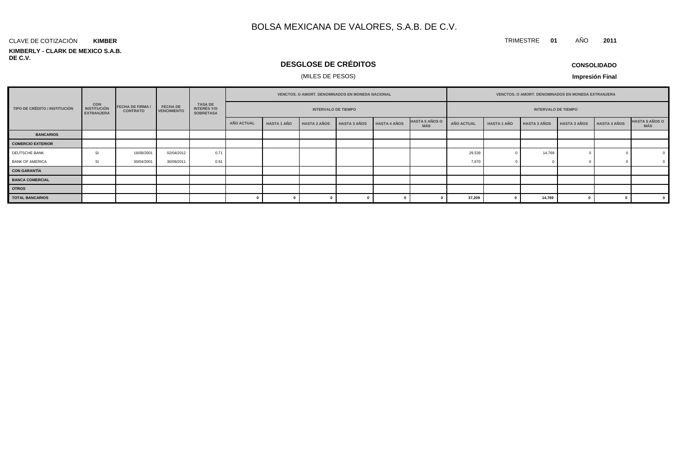#### **KIMBERLY - CLARK DE MEXICO S.A.B. DE C.V.** CLAVE DE COTIZACIÓN **KIMBER**

## **DESGLOSE DE CRÉDITOS**

## (MILES DE PESOS)

**CONSOLIDADO**

TRIMESTRE **01** AÑO **2011**

|                               |                                                | <b>FECHA DE FIRMA /</b><br><b>CONTRATO</b> |                                       | <b>TASA DE</b><br><b>INTERÉS Y/O</b><br><b>SOBRETASA</b> | VENCTOS. O AMORT. DENOMINADOS EN MONEDA NACIONAL |                    |                     |                     |                     | VENCTOS. O AMORT. DENOMINADOS EN MONEDA EXTRANJERA |            |                    |                     |                     |                     |                              |
|-------------------------------|------------------------------------------------|--------------------------------------------|---------------------------------------|----------------------------------------------------------|--------------------------------------------------|--------------------|---------------------|---------------------|---------------------|----------------------------------------------------|------------|--------------------|---------------------|---------------------|---------------------|------------------------------|
| TIPO DE CRÉDITO / INSTITUCIÓN | CON<br><b>INSTITUCIÓN</b><br><b>EXTRANJERA</b> |                                            | <b>FECHA DE</b><br><b>VENCIMIENTO</b> |                                                          | <b>INTERVALO DE TIEMPO</b>                       |                    |                     |                     |                     | <b>INTERVALO DE TIEMPO</b>                         |            |                    |                     |                     |                     |                              |
|                               |                                                |                                            |                                       |                                                          | <b>AÑO ACTUAL</b>                                | <b>HASTA 1 AÑO</b> | <b>HASTA 2 AÑOS</b> | <b>HASTA 3 AÑOS</b> | <b>HASTA 4 AÑOS</b> | <b>HASTA 5 AÑOS O</b><br><b>MÁS</b>                | AÑO ACTUAL | <b>HASTA 1 AÑO</b> | <b>HASTA 2 AÑOS</b> | <b>HASTA 3 AÑOS</b> | <b>HASTA 4 AÑOS</b> | <b>HASTA 5 AÑOS O</b><br>MÁS |
| <b>BANCARIOS</b>              |                                                |                                            |                                       |                                                          |                                                  |                    |                     |                     |                     |                                                    |            |                    |                     |                     |                     |                              |
| <b>COMERCIO EXTERIOR</b>      |                                                |                                            |                                       |                                                          |                                                  |                    |                     |                     |                     |                                                    |            |                    |                     |                     |                     |                              |
| DEUTSCHE BANK                 |                                                | 16/08/2001                                 | 02/04/2012                            | 0.71                                                     |                                                  |                    |                     |                     |                     |                                                    | 29,539     |                    | 14,769              |                     |                     |                              |
| <b>BANK OF AMERICA</b>        |                                                | 30/04/2001                                 | 30/09/2011                            | 0.91                                                     |                                                  |                    |                     |                     |                     |                                                    | 7,670      |                    |                     |                     |                     | $\overline{0}$               |
| <b>CON GARANTÍA</b>           |                                                |                                            |                                       |                                                          |                                                  |                    |                     |                     |                     |                                                    |            |                    |                     |                     |                     |                              |
| <b>BANCA COMERCIAL</b>        |                                                |                                            |                                       |                                                          |                                                  |                    |                     |                     |                     |                                                    |            |                    |                     |                     |                     |                              |
| <b>OTROS</b>                  |                                                |                                            |                                       |                                                          |                                                  |                    |                     |                     |                     |                                                    |            |                    |                     |                     |                     |                              |
| <b>TOTAL BANCARIOS</b>        |                                                |                                            |                                       |                                                          |                                                  |                    |                     |                     |                     |                                                    | 37,209     |                    | 14,769              |                     |                     |                              |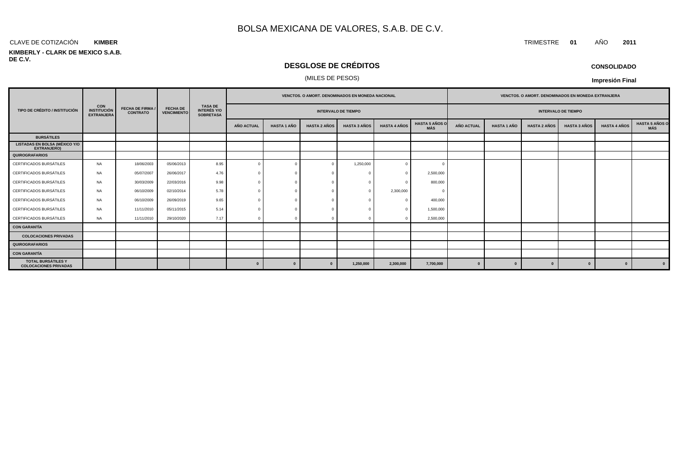#### CLAVE DE COTIZACIÓN TRIMESTRE **01** AÑO **2011 KIMBER**

#### **KIMBERLY - CLARK DE MEXICO S.A.B. DE C.V.**

## **DESGLOSE DE CRÉDITOS**

### (MILES DE PESOS)

|                                                            |                                                       | <b>FECHA DE FIRMA /</b><br><b>CONTRATO</b> | <b>FECHA DE</b><br><b>VENCIMIENTO</b> |                                                          | <b>VENCTOS, O AMORT, DENOMINADOS EN MONEDA NACIONAL</b> |                    |                     |                     |                     |                              |                            | <b>VENCTOS, O AMORT, DENOMINADOS EN MONEDA EXTRANJERA</b> |                     |                     |                     |                                     |  |
|------------------------------------------------------------|-------------------------------------------------------|--------------------------------------------|---------------------------------------|----------------------------------------------------------|---------------------------------------------------------|--------------------|---------------------|---------------------|---------------------|------------------------------|----------------------------|-----------------------------------------------------------|---------------------|---------------------|---------------------|-------------------------------------|--|
| TIPO DE CRÉDITO / INSTITUCIÓN                              | <b>CON</b><br><b>INSTITUCIÓN</b><br><b>EXTRANJERA</b> |                                            |                                       | <b>TASA DE</b><br><b>INTERÉS Y/O</b><br><b>SOBRETASA</b> | <b>INTERVALO DE TIEMPO</b>                              |                    |                     |                     |                     |                              | <b>INTERVALO DE TIEMPO</b> |                                                           |                     |                     |                     |                                     |  |
|                                                            |                                                       |                                            |                                       |                                                          | AÑO ACTUAL                                              | <b>HASTA 1 AÑO</b> | <b>HASTA 2 AÑOS</b> | <b>HASTA 3 AÑOS</b> | <b>HASTA 4 AÑOS</b> | <b>HASTA 5 AÑOS O</b><br>MÁS | AÑO ACTUAL                 | <b>HASTA 1 AÑO</b>                                        | <b>HASTA 2 AÑOS</b> | <b>HASTA 3 AÑOS</b> | <b>HASTA 4 AÑOS</b> | <b>HASTA 5 AÑOS O</b><br><b>MÁS</b> |  |
| <b>BURSÁTILES</b>                                          |                                                       |                                            |                                       |                                                          |                                                         |                    |                     |                     |                     |                              |                            |                                                           |                     |                     |                     |                                     |  |
| <b>LISTADAS EN BOLSA (MÉXICO Y/O</b><br><b>EXTRANJERO)</b> |                                                       |                                            |                                       |                                                          |                                                         |                    |                     |                     |                     |                              |                            |                                                           |                     |                     |                     |                                     |  |
| <b>QUIROGRAFARIOS</b>                                      |                                                       |                                            |                                       |                                                          |                                                         |                    |                     |                     |                     |                              |                            |                                                           |                     |                     |                     |                                     |  |
| CERTIFICADOS BURSÁTILES                                    | NA                                                    | 18/06/2003                                 | 05/06/2013                            | 8.95                                                     | $\Omega$                                                |                    | $\overline{0}$      | 1,250,000           | $^{\circ}$          |                              |                            |                                                           |                     |                     |                     |                                     |  |
| CERTIFICADOS BURSÁTILES                                    | NA                                                    | 05/07/2007                                 | 26/06/2017                            | 4.76                                                     |                                                         |                    |                     |                     | $\Omega$            | 2,500,000                    |                            |                                                           |                     |                     |                     |                                     |  |
| CERTIFICADOS BURSÁTILES                                    | NA                                                    | 30/03/2009                                 | 22/03/2016                            | 9.98                                                     |                                                         |                    |                     |                     | $\Omega$            | 800,000                      |                            |                                                           |                     |                     |                     |                                     |  |
| CERTIFICADOS BURSÁTILES                                    | NA                                                    | 06/10/2009                                 | 02/10/2014                            | 5.78                                                     |                                                         |                    |                     |                     | 2,300,000           |                              |                            |                                                           |                     |                     |                     |                                     |  |
| CERTIFICADOS BURSÁTILES                                    | NA                                                    | 06/10/2009                                 | 26/09/2019                            | 9.65                                                     |                                                         |                    |                     |                     | $\Omega$            | 400,000                      |                            |                                                           |                     |                     |                     |                                     |  |
| CERTIFICADOS BURSÁTILES                                    | NA                                                    | 11/11/2010                                 | 05/11/2015                            | 5.14                                                     |                                                         |                    |                     |                     | $\Omega$            | 1,500,000                    |                            |                                                           |                     |                     |                     |                                     |  |
| CERTIFICADOS BURSÁTILES                                    | <b>NA</b>                                             | 11/11/2010                                 | 29/10/2020                            | 7.17                                                     |                                                         |                    |                     |                     |                     | 2,500,000                    |                            |                                                           |                     |                     |                     |                                     |  |
| <b>CON GARANTÍA</b>                                        |                                                       |                                            |                                       |                                                          |                                                         |                    |                     |                     |                     |                              |                            |                                                           |                     |                     |                     |                                     |  |
| <b>COLOCACIONES PRIVADAS</b>                               |                                                       |                                            |                                       |                                                          |                                                         |                    |                     |                     |                     |                              |                            |                                                           |                     |                     |                     |                                     |  |
| QUIROGRAFARIOS                                             |                                                       |                                            |                                       |                                                          |                                                         |                    |                     |                     |                     |                              |                            |                                                           |                     |                     |                     |                                     |  |
| <b>CON GARANTÍA</b>                                        |                                                       |                                            |                                       |                                                          |                                                         |                    |                     |                     |                     |                              |                            |                                                           |                     |                     |                     |                                     |  |
| <b>TOTAL BURSÁTILES Y</b><br><b>COLOCACIONES PRIVADAS</b>  |                                                       |                                            |                                       |                                                          | $\Omega$                                                | $\bf{0}$           | $\Omega$            | 1,250,000           | 2,300,000           | 7,700,000                    | $\bf{0}$                   | $\mathbf{0}$                                              | $\Omega$            |                     | $\mathbf{0}$        |                                     |  |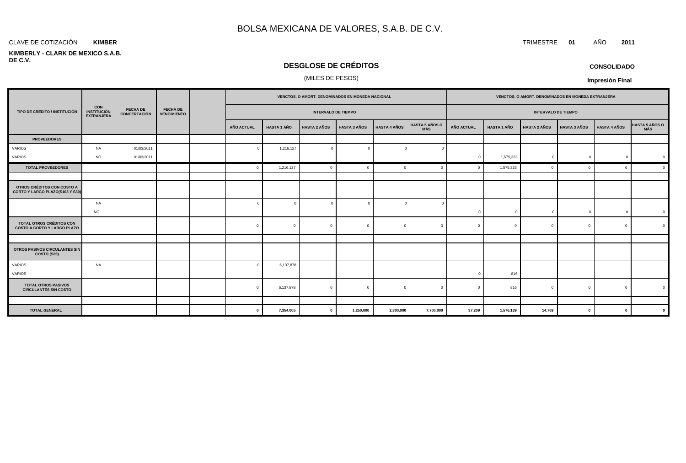#### **KIMBER**

#### **KIMBERLY - CLARK DE MEXICO S.A.B. DE C.V.**

## **DESGLOSE DE CRÉDITOS**

## (MILES DE PESOS)

|                                                                |                                                       |                                 |                                       |  | VENCTOS. O AMORT. DENOMINADOS EN MONEDA NACIONAL |                    |                     |                     |                     | VENCTOS. O AMORT. DENOMINADOS EN MONEDA EXTRANJERA |                            |                    |                     |                     |                     |                |
|----------------------------------------------------------------|-------------------------------------------------------|---------------------------------|---------------------------------------|--|--------------------------------------------------|--------------------|---------------------|---------------------|---------------------|----------------------------------------------------|----------------------------|--------------------|---------------------|---------------------|---------------------|----------------|
| TIPO DE CRÉDITO / INSTITUCIÓN                                  | <b>CON</b><br><b>INSTITUCIÓN</b><br><b>EXTRANJERA</b> | <b>FECHA DE</b><br>CONCERTACIÓN | <b>FECHA DE</b><br><b>VENCIMIENTO</b> |  | <b>INTERVALO DE TIEMPO</b>                       |                    |                     |                     |                     |                                                    | <b>INTERVALO DE TIEMPO</b> |                    |                     |                     |                     |                |
|                                                                |                                                       |                                 |                                       |  | AÑO ACTUAL                                       | <b>HASTA 1 AÑO</b> | <b>HASTA 2 AÑOS</b> | <b>HASTA 3 AÑOS</b> | <b>HASTA 4 AÑOS</b> | <b>HASTA 5 AÑOS O</b><br>MÁS                       | <b>AÑO ACTUAL</b>          | <b>HASTA 1 AÑO</b> | <b>HASTA 2 AÑOS</b> | <b>HASTA 3 AÑOS</b> | <b>HASTA 4 AÑOS</b> | HASTA 5 AÑOS O |
| <b>PROVEEDORES</b>                                             |                                                       |                                 |                                       |  |                                                  |                    |                     |                     |                     |                                                    |                            |                    |                     |                     |                     |                |
| VARIOS                                                         | NA                                                    | 01/03/2011                      |                                       |  | $\sqrt{ }$                                       | 1,216,127          | $\overline{0}$      | $\cap$              | $\Omega$            |                                                    |                            |                    |                     |                     |                     |                |
| VARIOS                                                         | <b>NO</b>                                             | 01/03/2011                      |                                       |  |                                                  |                    |                     |                     |                     |                                                    | $\Omega$                   | 1,575,323          | $^{\circ}$          | C                   | $\overline{0}$      |                |
| <b>TOTAL PROVEEDORES</b>                                       |                                                       |                                 |                                       |  | $\mathbf{0}$                                     | 1,216,127          | $\mathbf{0}$        | $\Omega$            | $\Omega$            | $\Omega$                                           |                            | 1,575,323          | $\Omega$            | $\Omega$            | $\Omega$            |                |
|                                                                |                                                       |                                 |                                       |  |                                                  |                    |                     |                     |                     |                                                    |                            |                    |                     |                     |                     |                |
| OTROS CRÉDITOS CON COSTO A<br>CORTO Y LARGO PLAZO(S103 Y S30)  |                                                       |                                 |                                       |  |                                                  |                    |                     |                     |                     |                                                    |                            |                    |                     |                     |                     |                |
|                                                                | NA                                                    |                                 |                                       |  | $\sqrt{ }$                                       |                    | $\overline{0}$      |                     | $\Omega$            |                                                    |                            |                    |                     |                     |                     |                |
|                                                                | <b>NO</b>                                             |                                 |                                       |  |                                                  |                    |                     |                     |                     |                                                    | $\Omega$                   | $\Omega$           | $\mathbf{0}$        |                     | $\mathbf{0}$        |                |
| TOTAL OTROS CRÉDITOS CON<br><b>COSTO A CORTO Y LARGO PLAZO</b> |                                                       |                                 |                                       |  | $\mathbf{0}$                                     | $^{\circ}$         | $\overline{0}$      | $\Omega$            | $\mathbf{0}$        | $\overline{0}$                                     | $\Omega$                   | $\Omega$           | $\mathbf 0$         | $\Omega$            | $\overline{0}$      |                |
|                                                                |                                                       |                                 |                                       |  |                                                  |                    |                     |                     |                     |                                                    |                            |                    |                     |                     |                     |                |
| <b>OTROS PASIVOS CIRCULANTES SIN</b><br>COSTO (S26)            |                                                       |                                 |                                       |  |                                                  |                    |                     |                     |                     |                                                    |                            |                    |                     |                     |                     |                |
| VARIOS                                                         | <b>NA</b>                                             |                                 |                                       |  | $\Omega$                                         | 6,137,878          |                     |                     |                     |                                                    |                            |                    |                     |                     |                     |                |
| VARIOS                                                         |                                                       |                                 |                                       |  |                                                  |                    |                     |                     |                     |                                                    |                            | 816                |                     |                     |                     |                |
| <b>TOTAL OTROS PASIVOS</b><br><b>CIRCULANTES SIN COSTO</b>     |                                                       |                                 |                                       |  | $\Omega$                                         | 6,137,878          | $\mathbf{0}$        | $\Omega$            | $\Omega$            |                                                    |                            | 816                | $\Omega$            |                     | $\Omega$            |                |
|                                                                |                                                       |                                 |                                       |  |                                                  |                    |                     |                     |                     |                                                    |                            |                    |                     |                     |                     |                |
| <b>TOTAL GENERAL</b>                                           |                                                       |                                 |                                       |  | $\mathbf 0$                                      | 7,354,005          | $\mathbf{0}$        | 1,250,000           | 2,300,000           | 7,700,000                                          | 37,209                     | 1,576,139          | 14,769              | $\mathbf{0}$        | $\mathbf{0}$        |                |

**CONSOLIDADO**

**Impresión Final**

CLAVE DE COTIZACIÓN TRIMESTRE **01** AÑO **2011**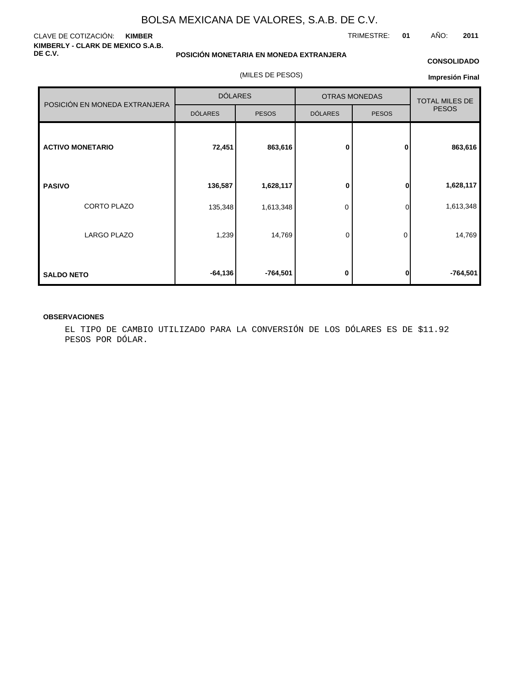#### CLAVE DE COTIZACIÓN: **KIMBER KIMBERLY - CLARK DE MEXICO S.A.B. DE C.V.**

**POSICIÓN MONETARIA EN MONEDA EXTRANJERA**

(MILES DE PESOS)

#### **CONSOLIDADO**

**Impresión Final**

|                               | <b>DÓLARES</b> |              |                | <b>OTRAS MONEDAS</b>                  |           |
|-------------------------------|----------------|--------------|----------------|---------------------------------------|-----------|
| POSICIÓN EN MONEDA EXTRANJERA |                |              |                | <b>TOTAL MILES DE</b><br><b>PESOS</b> |           |
|                               | <b>DÓLARES</b> | <b>PESOS</b> | <b>DÓLARES</b> | <b>PESOS</b>                          |           |
|                               |                |              |                |                                       |           |
| <b>ACTIVO MONETARIO</b>       | 72,451         | 863,616      | $\bf{0}$       | $\mathbf{0}$                          | 863,616   |
|                               |                |              |                |                                       |           |
| <b>PASIVO</b>                 | 136,587        | 1,628,117    | 0              | 0                                     | 1,628,117 |
| CORTO PLAZO                   | 135,348        | 1,613,348    | 0              | <sub>0</sub>                          | 1,613,348 |
| <b>LARGO PLAZO</b>            | 1,239          | 14,769       | 0              | 0                                     | 14,769    |
| <b>SALDO NETO</b>             | $-64,136$      | $-764,501$   | 0              | 0                                     | -764,501  |

#### **OBSERVACIONES**

EL TIPO DE CAMBIO UTILIZADO PARA LA CONVERSIÓN DE LOS DÓLARES ES DE \$11.92 PESOS POR DÓLAR.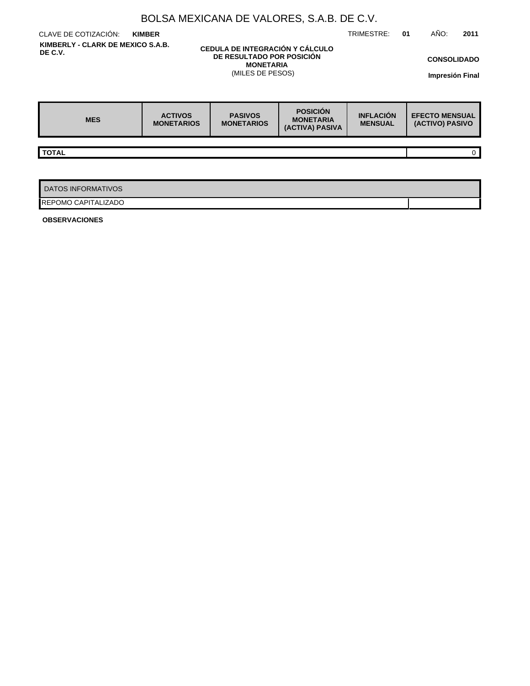| BOLSA MEXICANA DE VALORES, S.A.B. DE C.V.    |                                     |                                                                                                      |                                                        |                                    |                                          |   |  |  |  |  |  |
|----------------------------------------------|-------------------------------------|------------------------------------------------------------------------------------------------------|--------------------------------------------------------|------------------------------------|------------------------------------------|---|--|--|--|--|--|
| CLAVE DE COTIZACIÓN:<br><b>KIMBER</b>        | AÑO:<br>01                          | 2011                                                                                                 |                                                        |                                    |                                          |   |  |  |  |  |  |
| KIMBERLY - CLARK DE MEXICO S.A.B.<br>DE C.V. |                                     | CEDULA DE INTEGRACIÓN Y CÁLCULO<br>DE RESULTADO POR POSICIÓN<br><b>MONETARIA</b><br>(MILES DE PESOS) |                                                        |                                    | <b>CONSOLIDADO</b><br>Impresión Final    |   |  |  |  |  |  |
| <b>MES</b>                                   | <b>ACTIVOS</b><br><b>MONETARIOS</b> | <b>PASIVOS</b><br><b>MONETARIOS</b>                                                                  | <b>POSICIÓN</b><br><b>MONETARIA</b><br>(ACTIVA) PASIVA | <b>INFLACIÓN</b><br><b>MENSUAL</b> | <b>EFECTO MENSUAL</b><br>(ACTIVO) PASIVO |   |  |  |  |  |  |
|                                              |                                     |                                                                                                      |                                                        |                                    |                                          |   |  |  |  |  |  |
| <b>TOTAL</b>                                 |                                     |                                                                                                      |                                                        |                                    |                                          | 0 |  |  |  |  |  |
|                                              |                                     |                                                                                                      |                                                        |                                    |                                          |   |  |  |  |  |  |
| <b>DATOS INFORMATIVOS</b>                    |                                     |                                                                                                      |                                                        |                                    |                                          |   |  |  |  |  |  |
| REPOMO CAPITALIZADO                          |                                     |                                                                                                      |                                                        |                                    |                                          |   |  |  |  |  |  |

**OBSERVACIONES**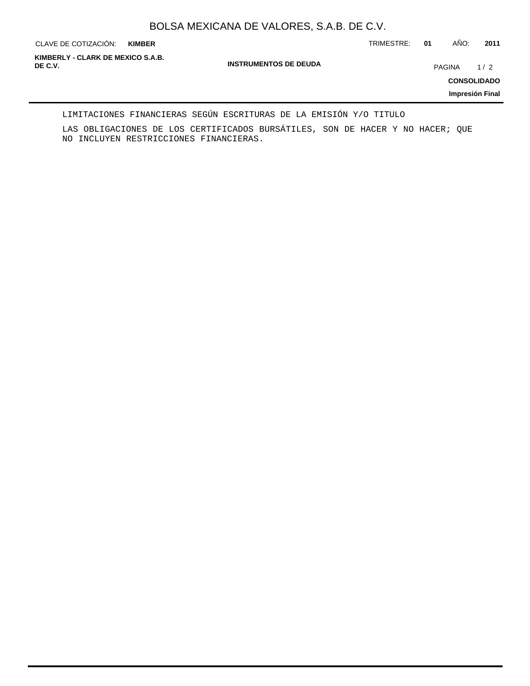**KIMBER**

CLAVE DE COTIZACIÓN: TRIMESTRE: **01** AÑO: **2011**

**INSTRUMENTOS DE DEUDA DE C.V.** PAGINA 1 / 2 **KIMBERLY - CLARK DE MEXICO S.A.B.**

**CONSOLIDADO**

**Impresión Final**

LIMITACIONES FINANCIERAS SEGÚN ESCRITURAS DE LA EMISIÓN Y/O TITULO

LAS OBLIGACIONES DE LOS CERTIFICADOS BURSÁTILES, SON DE HACER Y NO HACER; QUE NO INCLUYEN RESTRICCIONES FINANCIERAS.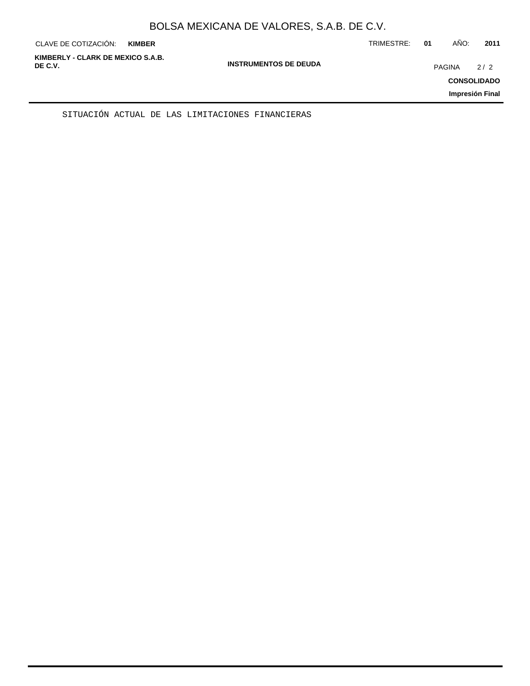| KIMBERLY - CLARK DE MEXICO S.A.B.<br><b>INSTRUMENTOS DE DEUDA</b><br>DE C.V.<br>PAGINA<br><b>CONSOLIDADO</b><br>Impresión Final | 2/2 |
|---------------------------------------------------------------------------------------------------------------------------------|-----|

SITUACIÓN ACTUAL DE LAS LIMITACIONES FINANCIERAS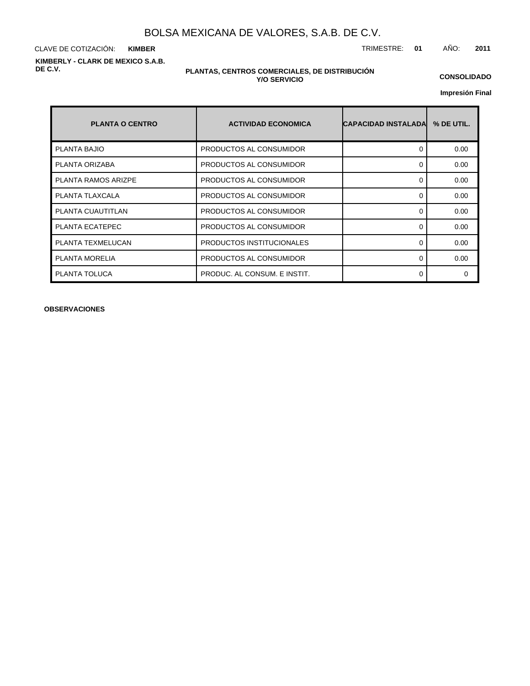CLAVE DE COTIZACIÓN: TRIMESTRE: **01** AÑO: **2011 KIMBER KIMBERLY - CLARK DE MEXICO S.A.B. DE C.V.**

#### **PLANTAS, CENTROS COMERCIALES, DE DISTRIBUCIÓN Y/O SERVICIO**

**CONSOLIDADO**

**Impresión Final**

| <b>PLANTA O CENTRO</b> | <b>ACTIVIDAD ECONOMICA</b>   | ICAPACIDAD INSTALADAI | % DE UTIL. |
|------------------------|------------------------------|-----------------------|------------|
| <b>PLANTA BAJIO</b>    | PRODUCTOS AL CONSUMIDOR      | 0                     | 0.00       |
| PLANTA ORIZABA         | PRODUCTOS AL CONSUMIDOR      | 0                     | 0.00       |
| PLANTA RAMOS ARIZPE    | PRODUCTOS AL CONSUMIDOR      | 0                     | 0.00       |
| PLANTA TLAXCALA        | PRODUCTOS AL CONSUMIDOR      | $\Omega$              | 0.00       |
| PLANTA CUAUTITLAN      | PRODUCTOS AL CONSUMIDOR      | 0                     | 0.00       |
| PLANTA ECATEPEC        | PRODUCTOS AL CONSUMIDOR      | $\Omega$              | 0.00       |
| PLANTA TEXMELUCAN      | PRODUCTOS INSTITUCIONALES    | $\Omega$              | 0.00       |
| <b>PLANTA MORELIA</b>  | PRODUCTOS AL CONSUMIDOR      | 0                     | 0.00       |
| PLANTA TOLUCA          | PRODUC. AL CONSUM. E INSTIT. | 0                     | $\Omega$   |

**OBSERVACIONES**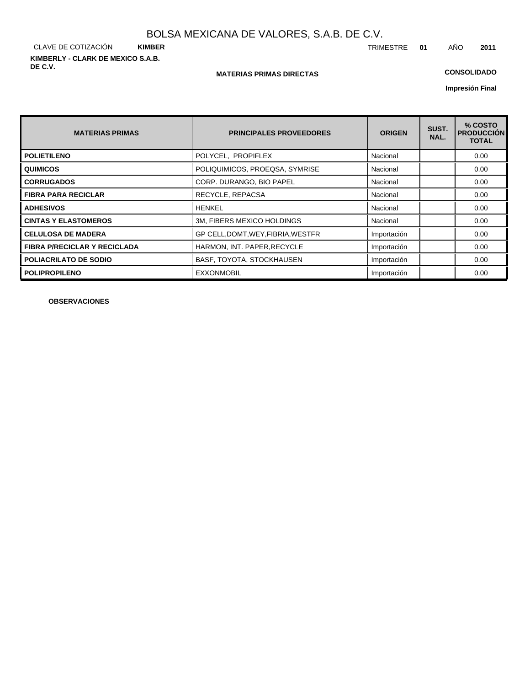CLAVE DE COTIZACIÓN **KIMBER KIMBERLY - CLARK DE MEXICO S.A.B. DE C.V.**

#### **MATERIAS PRIMAS DIRECTAS**

## **CONSOLIDADO**

**Impresión Final**

| <b>MATERIAS PRIMAS</b>              | <b>PRINCIPALES PROVEEDORES</b>     | <b>ORIGEN</b> | SUST.<br>NAL. | % COSTO<br><b>PRODUCCIÓN</b><br><b>TOTAL</b> |
|-------------------------------------|------------------------------------|---------------|---------------|----------------------------------------------|
| <b>POLIETILENO</b>                  | POLYCEL, PROPIFLEX                 | Nacional      |               | 0.00                                         |
| <b>QUIMICOS</b>                     | POLIQUIMICOS, PROEQSA, SYMRISE     | Nacional      |               | 0.00                                         |
| <b>CORRUGADOS</b>                   | CORP. DURANGO, BIO PAPEL           | Nacional      |               | 0.00                                         |
| <b>FIBRA PARA RECICLAR</b>          | RECYCLE, REPACSA                   | Nacional      |               | 0.00                                         |
| <b>ADHESIVOS</b>                    | <b>HENKEL</b>                      | Nacional      |               | 0.00                                         |
| <b>CINTAS Y ELASTOMEROS</b>         | 3M, FIBERS MEXICO HOLDINGS         | Nacional      |               | 0.00                                         |
| <b>CELULOSA DE MADERA</b>           | GP CELL, DOMT, WEY, FIBRIA, WESTFR | Importación   |               | 0.00                                         |
| <b>FIBRA P/RECICLAR Y RECICLADA</b> | HARMON, INT. PAPER, RECYCLE        | Importación   |               | 0.00                                         |
| <b>POLIACRILATO DE SODIO</b>        | BASF, TOYOTA, STOCKHAUSEN          | Importación   |               | 0.00                                         |
| <b>POLIPROPILENO</b>                | <b>EXXONMOBIL</b>                  | Importación   |               | 0.00                                         |

**OBSERVACIONES**

TRIMESTRE **01** AÑO **2011**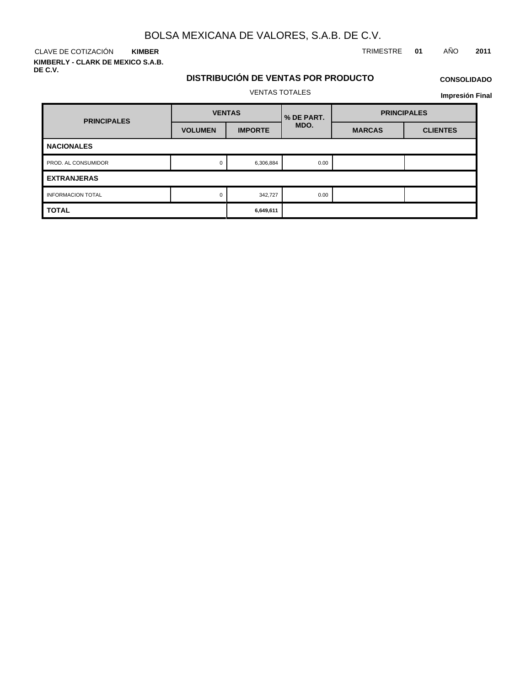CLAVE DE COTIZACIÓN TRIMESTRE **01** AÑO **2011 KIMBER**

**KIMBERLY - CLARK DE MEXICO S.A.B. DE C.V.**

# **DISTRIBUCIÓN DE VENTAS POR PRODUCTO**

## **CONSOLIDADO**

VENTAS TOTALES

| <b>PRINCIPALES</b>            | <b>VENTAS</b>  |                | % DE PART. | <b>PRINCIPALES</b> |                 |  |  |  |
|-------------------------------|----------------|----------------|------------|--------------------|-----------------|--|--|--|
|                               | <b>VOLUMEN</b> | <b>IMPORTE</b> | MDO.       | <b>MARCAS</b>      | <b>CLIENTES</b> |  |  |  |
| <b>NACIONALES</b>             |                |                |            |                    |                 |  |  |  |
| PROD. AL CONSUMIDOR           | 0              | 6,306,884      | 0.00       |                    |                 |  |  |  |
| <b>EXTRANJERAS</b>            |                |                |            |                    |                 |  |  |  |
| <b>INFORMACION TOTAL</b><br>0 |                | 342,727        | 0.00       |                    |                 |  |  |  |
| <b>TOTAL</b>                  |                | 6,649,611      |            |                    |                 |  |  |  |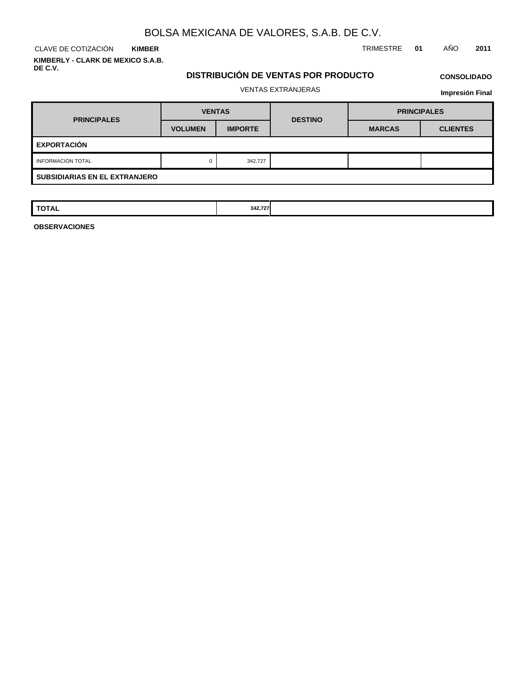CLAVE DE COTIZACIÓN TRIMESTRE **01** AÑO **2011 KIMBER KIMBERLY - CLARK DE MEXICO S.A.B.**

**DE C.V.**

## **DISTRIBUCIÓN DE VENTAS POR PRODUCTO** VENTAS EXTRANJERAS

**Impresión Final**

| <b>PRINCIPALES</b>                   | <b>VENTAS</b>  |                | <b>DESTINO</b> | <b>PRINCIPALES</b> |                 |  |  |
|--------------------------------------|----------------|----------------|----------------|--------------------|-----------------|--|--|
|                                      | <b>VOLUMEN</b> | <b>IMPORTE</b> |                | <b>MARCAS</b>      | <b>CLIENTES</b> |  |  |
| <b>EXPORTACIÓN</b>                   |                |                |                |                    |                 |  |  |
| <b>INFORMACION TOTAL</b>             | 0              | 342,727        |                |                    |                 |  |  |
| <b>SUBSIDIARIAS EN EL EXTRANJERO</b> |                |                |                |                    |                 |  |  |

| <b>TOTAL</b> | .<br>342.727 |  |  |
|--------------|--------------|--|--|
|              |              |  |  |

**OBSERVACIONES**

**CONSOLIDADO**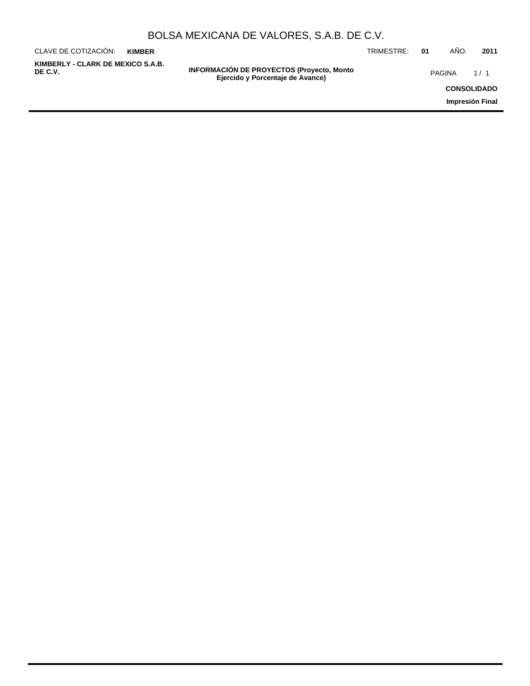| BOLSA MEXICANA DE VALORES, S.A.B. DE C.V. |  |  |  |
|-------------------------------------------|--|--|--|
|-------------------------------------------|--|--|--|

**INFORMACIÓN DE PROYECTOS (Proyecto, Monto DE C.V.** PAGINA 1 / 1**Ejercido y Porcentaje de Avance)** CLAVE DE COTIZACIÓN: TRIMESTRE: **01** AÑO: **2011 CONSOLIDADO Impresión Final KIMBER KIMBERLY - CLARK DE MEXICO S.A.B.**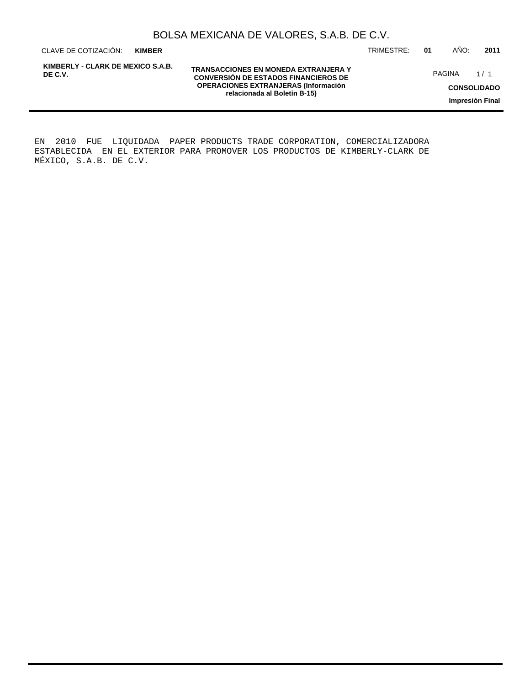**KIMBER**

**KIMBERLY - CLARK DE MEXICO S.A.B. DE C.V.**

**TRANSACCIONES EN MONEDA EXTRANJERA Y CONVERSIÓN DE ESTADOS FINANCIEROS DE OPERACIONES EXTRANJERAS (Información relacionada al Boletín B-15)**

CLAVE DE COTIZACIÓN: TRIMESTRE: **01** AÑO: **2011**

PAGINA 1/1

**CONSOLIDADO**

**Impresión Final**

EN 2010 FUE LIQUIDADA PAPER PRODUCTS TRADE CORPORATION, COMERCIALIZADORA ESTABLECIDA EN EL EXTERIOR PARA PROMOVER LOS PRODUCTOS DE KIMBERLY-CLARK DE MÉXICO, S.A.B. DE C.V.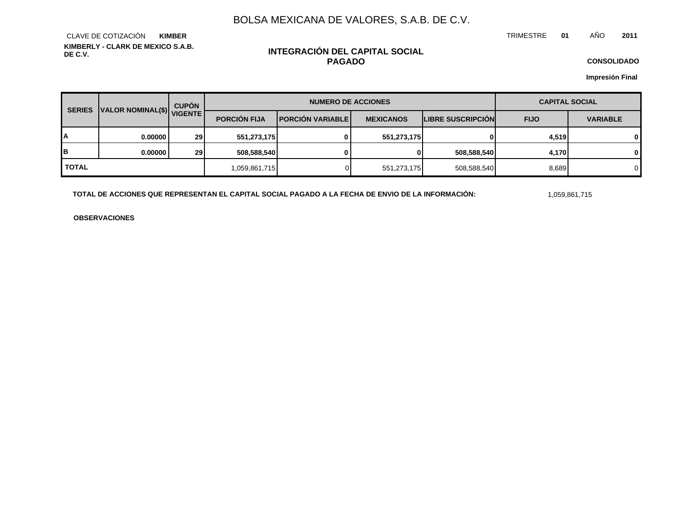TRIMESTRE **01** AÑO **2011**

**KIMBERLY - CLARK DE MEXICO S.A.B. DE C.V.** CLAVE DE COTIZACIÓN **KIMBER**

## **INTEGRACIÓN DEL CAPITAL SOCIAL PAGADO**

**CONSOLIDADO**

**Impresión Final**

| <b>SERIES</b> | VALOR NOMINAL(\$) VIGENTE | <b>CUPÓN</b>    | <b>NUMERO DE ACCIONES</b> |                         |                  |                          | <b>CAPITAL SOCIAL</b> |                 |
|---------------|---------------------------|-----------------|---------------------------|-------------------------|------------------|--------------------------|-----------------------|-----------------|
|               |                           |                 | <b>PORCIÓN FIJA</b>       | <b>PORCIÓN VARIABLE</b> | <b>MEXICANOS</b> | <b>LIBRE SUSCRIPCIÓN</b> | <b>FIJO</b>           | <b>VARIABLE</b> |
| А             | 0.00000                   | 29 <sub>l</sub> | 551,273,175               | 0                       | 551,273,175      |                          | 4,519                 | $\mathbf{0}$    |
| B             | 0.00000                   | 29              | 508,588,540               | 0                       | 01               | 508,588,540              | 4,170                 | $\mathbf{0}$    |
| <b>TOTAL</b>  |                           |                 | 1,059,861,715             |                         | 551,273,175      | 508,588,540              | 8,689                 | $\Omega$        |

TOTAL DE ACCIONES QUE REPRESENTAN EL CAPITAL SOCIAL PAGADO A LA FECHA DE ENVIO DE LA INFORMACIÓN: 1999,861,715

**OBSERVACIONES**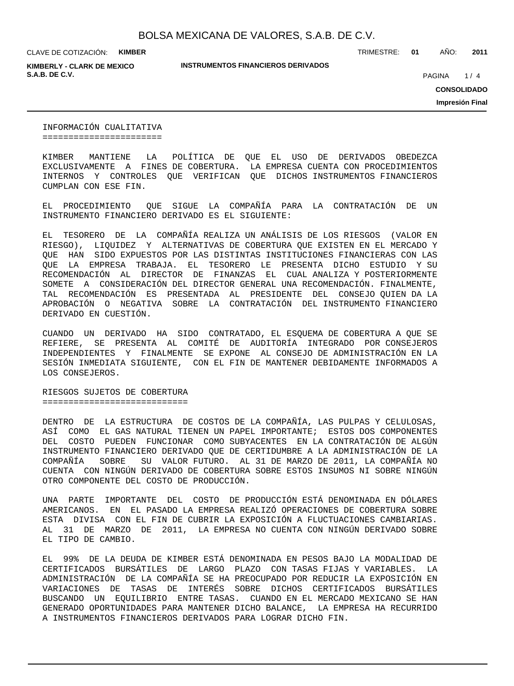**KIMBERLY - CLARK DE MEXICO S.A.B. DE C.V. PAGINA 1999** 

**INSTRUMENTOS FINANCIEROS DERIVADOS**

TRIMESTRE: **01** AÑO: **2011**

 $1/4$ 

**CONSOLIDADO**

**Impresión Final**

INFORMACIÓN CUALITATIVA =======================

KIMBER MANTIENE LA POLÍTICA DE QUE EL USO DE DERIVADOS OBEDEZCA EXCLUSIVAMENTE A FINES DE COBERTURA. LA EMPRESA CUENTA CON PROCEDIMIENTOS INTERNOS Y CONTROLES QUE VERIFICAN QUE DICHOS INSTRUMENTOS FINANCIEROS CUMPLAN CON ESE FIN.

EL PROCEDIMIENTO QUE SIGUE LA COMPAÑÍA PARA LA CONTRATACIÓN DE UN INSTRUMENTO FINANCIERO DERIVADO ES EL SIGUIENTE:

EL TESORERO DE LA COMPAÑÍA REALIZA UN ANÁLISIS DE LOS RIESGOS (VALOR EN RIESGO), LIQUIDEZ Y ALTERNATIVAS DE COBERTURA QUE EXISTEN EN EL MERCADO Y QUE HAN SIDO EXPUESTOS POR LAS DISTINTAS INSTITUCIONES FINANCIERAS CON LAS QUE LA EMPRESA TRABAJA. EL TESORERO LE PRESENTA DICHO ESTUDIO Y SU RECOMENDACIÓN AL DIRECTOR DE FINANZAS EL CUAL ANALIZA Y POSTERIORMENTE SOMETE A CONSIDERACIÓN DEL DIRECTOR GENERAL UNA RECOMENDACIÓN. FINALMENTE, TAL RECOMENDACIÓN ES PRESENTADA AL PRESIDENTE DEL CONSEJO QUIEN DA LA APROBACIÓN O NEGATIVA SOBRE LA CONTRATACIÓN DEL INSTRUMENTO FINANCIERO DERIVADO EN CUESTIÓN.

CUANDO UN DERIVADO HA SIDO CONTRATADO, EL ESQUEMA DE COBERTURA A QUE SE REFIERE, SE PRESENTA AL COMITÉ DE AUDITORÍA INTEGRADO POR CONSEJEROS INDEPENDIENTES Y FINALMENTE SE EXPONE AL CONSEJO DE ADMINISTRACIÓN EN LA SESIÓN INMEDIATA SIGUIENTE, CON EL FIN DE MANTENER DEBIDAMENTE INFORMADOS A LOS CONSEJEROS.

RIESGOS SUJETOS DE COBERTURA ============================

DENTRO DE LA ESTRUCTURA DE COSTOS DE LA COMPAÑÍA, LAS PULPAS Y CELULOSAS, ASÍ COMO EL GAS NATURAL TIENEN UN PAPEL IMPORTANTE; ESTOS DOS COMPONENTES DEL COSTO PUEDEN FUNCIONAR COMO SUBYACENTES EN LA CONTRATACIÓN DE ALGÚN INSTRUMENTO FINANCIERO DERIVADO QUE DE CERTIDUMBRE A LA ADMINISTRACIÓN DE LA COMPAÑÍA SOBRE SU VALOR FUTURO. AL 31 DE MARZO DE 2011, LA COMPAÑÍA NO CUENTA CON NINGÚN DERIVADO DE COBERTURA SOBRE ESTOS INSUMOS NI SOBRE NINGÚN OTRO COMPONENTE DEL COSTO DE PRODUCCIÓN.

UNA PARTE IMPORTANTE DEL COSTO DE PRODUCCIÓN ESTÁ DENOMINADA EN DÓLARES AMERICANOS. EN EL PASADO LA EMPRESA REALIZÓ OPERACIONES DE COBERTURA SOBRE ESTA DIVISA CON EL FIN DE CUBRIR LA EXPOSICIÓN A FLUCTUACIONES CAMBIARIAS. AL 31 DE MARZO DE 2011, LA EMPRESA NO CUENTA CON NINGÚN DERIVADO SOBRE EL TIPO DE CAMBIO.

EL 99% DE LA DEUDA DE KIMBER ESTÁ DENOMINADA EN PESOS BAJO LA MODALIDAD DE CERTIFICADOS BURSÁTILES DE LARGO PLAZO CON TASAS FIJAS Y VARIABLES. LA ADMINISTRACIÓN DE LA COMPAÑÍA SE HA PREOCUPADO POR REDUCIR LA EXPOSICIÓN EN VARIACIONES DE TASAS DE INTERÉS SOBRE DICHOS CERTIFICADOS BURSÁTILES BUSCANDO UN EQUILIBRIO ENTRE TASAS. CUANDO EN EL MERCADO MEXICANO SE HAN GENERADO OPORTUNIDADES PARA MANTENER DICHO BALANCE, LA EMPRESA HA RECURRIDO A INSTRUMENTOS FINANCIEROS DERIVADOS PARA LOGRAR DICHO FIN.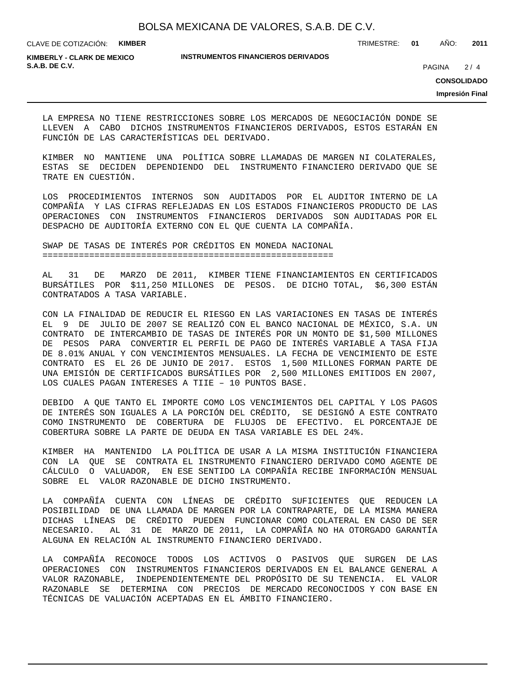TRIMESTRE: **01** AÑO: **2011**

**KIMBERLY - CLARK DE MEXICO S.A.B. DE C.V.** 2/4

#### **INSTRUMENTOS FINANCIEROS DERIVADOS**

 $2/4$ 

**CONSOLIDADO**

**Impresión Final**

LA EMPRESA NO TIENE RESTRICCIONES SOBRE LOS MERCADOS DE NEGOCIACIÓN DONDE SE LLEVEN A CABO DICHOS INSTRUMENTOS FINANCIEROS DERIVADOS, ESTOS ESTARÁN EN FUNCIÓN DE LAS CARACTERÍSTICAS DEL DERIVADO.

KIMBER NO MANTIENE UNA POLÍTICA SOBRE LLAMADAS DE MARGEN NI COLATERALES, ESTAS SE DECIDEN DEPENDIENDO DEL INSTRUMENTO FINANCIERO DERIVADO QUE SE TRATE EN CUESTIÓN.

LOS PROCEDIMIENTOS INTERNOS SON AUDITADOS POR EL AUDITOR INTERNO DE LA COMPAÑÍA Y LAS CIFRAS REFLEJADAS EN LOS ESTADOS FINANCIEROS PRODUCTO DE LAS OPERACIONES CON INSTRUMENTOS FINANCIEROS DERIVADOS SON AUDITADAS POR EL DESPACHO DE AUDITORÍA EXTERNO CON EL QUE CUENTA LA COMPAÑÍA.

SWAP DE TASAS DE INTERÉS POR CRÉDITOS EN MONEDA NACIONAL ========================================================

AL 31 DE MARZO DE 2011, KIMBER TIENE FINANCIAMIENTOS EN CERTIFICADOS BURSÁTILES POR \$11,250 MILLONES DE PESOS. DE DICHO TOTAL, \$6,300 ESTÁN CONTRATADOS A TASA VARIABLE.

CON LA FINALIDAD DE REDUCIR EL RIESGO EN LAS VARIACIONES EN TASAS DE INTERÉS EL 9 DE JULIO DE 2007 SE REALIZÓ CON EL BANCO NACIONAL DE MÉXICO, S.A. UN CONTRATO DE INTERCAMBIO DE TASAS DE INTERÉS POR UN MONTO DE \$1,500 MILLONES DE PESOS PARA CONVERTIR EL PERFIL DE PAGO DE INTERÉS VARIABLE A TASA FIJA DE 8.01% ANUAL Y CON VENCIMIENTOS MENSUALES. LA FECHA DE VENCIMIENTO DE ESTE CONTRATO ES EL 26 DE JUNIO DE 2017. ESTOS 1,500 MILLONES FORMAN PARTE DE UNA EMISIÓN DE CERTIFICADOS BURSÁTILES POR 2,500 MILLONES EMITIDOS EN 2007, LOS CUALES PAGAN INTERESES A TIIE – 10 PUNTOS BASE.

DEBIDO A QUE TANTO EL IMPORTE COMO LOS VENCIMIENTOS DEL CAPITAL Y LOS PAGOS DE INTERÉS SON IGUALES A LA PORCIÓN DEL CRÉDITO, SE DESIGNÓ A ESTE CONTRATO COMO INSTRUMENTO DE COBERTURA DE FLUJOS DE EFECTIVO. EL PORCENTAJE DE COBERTURA SOBRE LA PARTE DE DEUDA EN TASA VARIABLE ES DEL 24%.

KIMBER HA MANTENIDO LA POLÍTICA DE USAR A LA MISMA INSTITUCIÓN FINANCIERA CON LA QUE SE CONTRATA EL INSTRUMENTO FINANCIERO DERIVADO COMO AGENTE DE CÁLCULO O VALUADOR, EN ESE SENTIDO LA COMPAÑÍA RECIBE INFORMACIÓN MENSUAL SOBRE EL VALOR RAZONABLE DE DICHO INSTRUMENTO.

LA COMPAÑÍA CUENTA CON LÍNEAS DE CRÉDITO SUFICIENTES QUE REDUCEN LA POSIBILIDAD DE UNA LLAMADA DE MARGEN POR LA CONTRAPARTE, DE LA MISMA MANERA DICHAS LÍNEAS DE CRÉDITO PUEDEN FUNCIONAR COMO COLATERAL EN CASO DE SER NECESARIO. AL 31 DE MARZO DE 2011, LA COMPAÑÍA NO HA OTORGADO GARANTÍA ALGUNA EN RELACIÓN AL INSTRUMENTO FINANCIERO DERIVADO.

LA COMPAÑÍA RECONOCE TODOS LOS ACTIVOS O PASIVOS QUE SURGEN DE LAS OPERACIONES CON INSTRUMENTOS FINANCIEROS DERIVADOS EN EL BALANCE GENERAL A VALOR RAZONABLE, INDEPENDIENTEMENTE DEL PROPÓSITO DE SU TENENCIA. EL VALOR RAZONABLE SE DETERMINA CON PRECIOS DE MERCADO RECONOCIDOS Y CON BASE EN TÉCNICAS DE VALUACIÓN ACEPTADAS EN EL ÁMBITO FINANCIERO.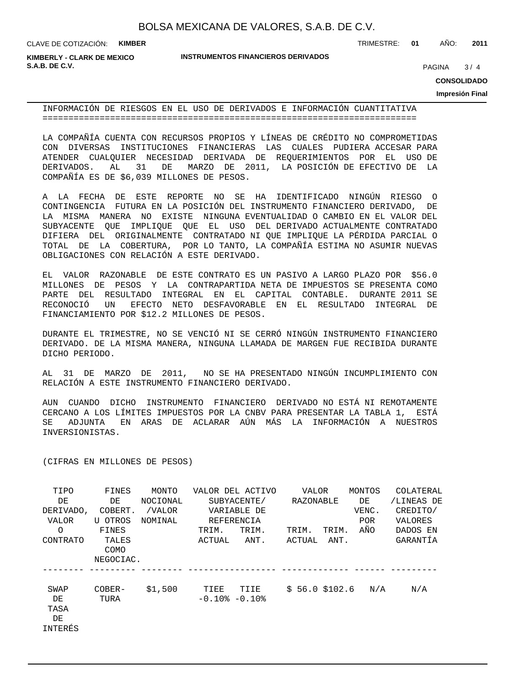**KIMBERLY - CLARK DE MEXICO S.A.B. DE C.V.** 2004 **PAGINA 2006** 2006 **PAGINA** 2006 2007 **PAGINA** 2006 2007 **PAGINA** 2007 2008 2014

**INSTRUMENTOS FINANCIEROS DERIVADOS**

TRIMESTRE: **01** AÑO: **2011**

 $3/4$ 

**CONSOLIDADO**

**Impresión Final**

INFORMACIÓN DE RIESGOS EN EL USO DE DERIVADOS E INFORMACIÓN CUANTITATIVA ========================================================================

LA COMPAÑÍA CUENTA CON RECURSOS PROPIOS Y LÍNEAS DE CRÉDITO NO COMPROMETIDAS CON DIVERSAS INSTITUCIONES FINANCIERAS LAS CUALES PUDIERA ACCESAR PARA ATENDER CUALQUIER NECESIDAD DERIVADA DE REQUERIMIENTOS POR EL USO DE DERIVADOS. AL 31 DE MARZO DE 2011, LA POSICIÓN DE EFECTIVO DE LA COMPAÑÍA ES DE \$6,039 MILLONES DE PESOS.

A LA FECHA DE ESTE REPORTE NO SE HA IDENTIFICADO NINGÚN RIESGO O CONTINGENCIA FUTURA EN LA POSICIÓN DEL INSTRUMENTO FINANCIERO DERIVADO, DE LA MISMA MANERA NO EXISTE NINGUNA EVENTUALIDAD O CAMBIO EN EL VALOR DEL SUBYACENTE QUE IMPLIQUE QUE EL USO DEL DERIVADO ACTUALMENTE CONTRATADO DIFIERA DEL ORIGINALMENTE CONTRATADO NI QUE IMPLIQUE LA PÉRDIDA PARCIAL O TOTAL DE LA COBERTURA, POR LO TANTO, LA COMPAÑÍA ESTIMA NO ASUMIR NUEVAS OBLIGACIONES CON RELACIÓN A ESTE DERIVADO.

EL VALOR RAZONABLE DE ESTE CONTRATO ES UN PASIVO A LARGO PLAZO POR \$56.0 MILLONES DE PESOS Y LA CONTRAPARTIDA NETA DE IMPUESTOS SE PRESENTA COMO PARTE DEL RESULTADO INTEGRAL EN EL CAPITAL CONTABLE. DURANTE 2011 SE RECONOCIÓ UN EFECTO NETO DESFAVORABLE EN EL RESULTADO INTEGRAL DE FINANCIAMIENTO POR \$12.2 MILLONES DE PESOS.

DURANTE EL TRIMESTRE, NO SE VENCIÓ NI SE CERRÓ NINGÚN INSTRUMENTO FINANCIERO DERIVADO. DE LA MISMA MANERA, NINGUNA LLAMADA DE MARGEN FUE RECIBIDA DURANTE DICHO PERIODO.

AL 31 DE MARZO DE 2011, NO SE HA PRESENTADO NINGÚN INCUMPLIMIENTO CON RELACIÓN A ESTE INSTRUMENTO FINANCIERO DERIVADO.

AUN CUANDO DICHO INSTRUMENTO FINANCIERO DERIVADO NO ESTÁ NI REMOTAMENTE CERCANO A LOS LÍMITES IMPUESTOS POR LA CNBV PARA PRESENTAR LA TABLA 1, ESTÁ SE ADJUNTA EN ARAS DE ACLARAR AÚN MÁS LA INFORMACIÓN A NUESTROS INVERSIONISTAS.

(CIFRAS EN MILLONES DE PESOS)

| TIPO            | FINES     | MONTO    |                     | VALOR DEL ACTIVO | VALOR         |       | MONTOS     | COLATERAL  |
|-----------------|-----------|----------|---------------------|------------------|---------------|-------|------------|------------|
| DE              | DE        | NOCIONAL |                     | SUBYACENTE/      | RAZONABLE     |       | DE         | /LINEAS DE |
| DERIVADO,       | COBERT.   | /VALOR   |                     | VARIABLE DE      |               |       | VENC.      | CREDITO/   |
| VALOR           | U OTROS   | NOMINAL  |                     | REFERENCIA       |               |       | <b>POR</b> | VALORES    |
| $\Omega$        | FINES     |          | TRIM.               | TRIM.            | TRIM.         | TRIM. | AÑO        | DADOS EN   |
| <b>CONTRATO</b> | TALES     |          | ACTUAL              | ANT.             | ACTUAL        | ANT.  |            | GARANTÍA   |
|                 | COMO      |          |                     |                  |               |       |            |            |
|                 | NEGOCIAC. |          |                     |                  |               |       |            |            |
|                 |           |          |                     |                  |               |       |            |            |
| SWAP            | $COBER-$  | \$1,500  | TIEE                | TIIE             | \$56.0\$102.6 |       | N/A        | N/A        |
| DE              | TURA      |          | $-0.10$ % $-0.10$ % |                  |               |       |            |            |
| TASA            |           |          |                     |                  |               |       |            |            |
| DE              |           |          |                     |                  |               |       |            |            |
| INTERÉS         |           |          |                     |                  |               |       |            |            |